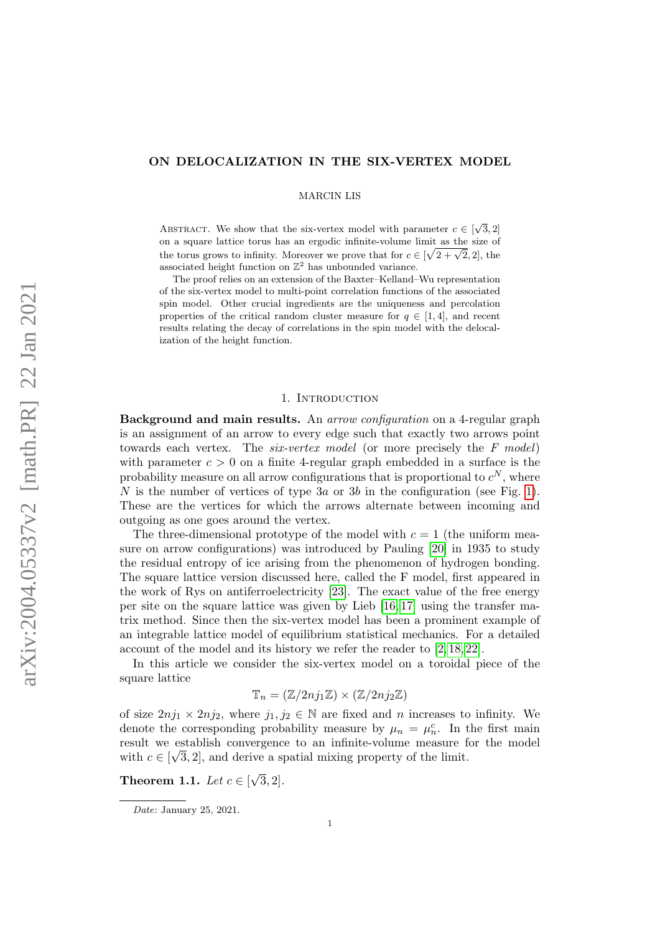# ON DELOCALIZATION IN THE SIX-VERTEX MODEL

MARCIN LIS

ABSTRACT. We show that the six-vertex model with parameter  $c \in [\sqrt{3}, 2]$ on a square lattice torus has an ergodic infinite-volume limit as the size of the torus grows to infinity. Moreover we prove that for  $c \in [\sqrt{2 + \sqrt{2}}, 2]$ , the associated height function on  $\mathbb{Z}^2$  has unbounded variance.

The proof relies on an extension of the Baxter–Kelland–Wu representation of the six-vertex model to multi-point correlation functions of the associated spin model. Other crucial ingredients are the uniqueness and percolation properties of the critical random cluster measure for  $q \in [1, 4]$ , and recent results relating the decay of correlations in the spin model with the delocalization of the height function.

## 1. Introduction

Background and main results. An arrow configuration on a 4-regular graph is an assignment of an arrow to every edge such that exactly two arrows point towards each vertex. The *six-vertex model* (or more precisely the F model) with parameter  $c > 0$  on a finite 4-regular graph embedded in a surface is the probability measure on all arrow configurations that is proportional to  $c^N$ , where N is the number of vertices of type  $3a$  or  $3b$  in the configuration (see Fig. [1\)](#page-1-0). These are the vertices for which the arrows alternate between incoming and outgoing as one goes around the vertex.

The three-dimensional prototype of the model with  $c = 1$  (the uniform measure on arrow configurations) was introduced by Pauling [\[20\]](#page-23-0) in 1935 to study the residual entropy of ice arising from the phenomenon of hydrogen bonding. The square lattice version discussed here, called the F model, first appeared in the work of Rys on antiferroelectricity [\[23\]](#page-23-1). The exact value of the free energy per site on the square lattice was given by Lieb [\[16,](#page-23-2) [17\]](#page-23-3) using the transfer matrix method. Since then the six-vertex model has been a prominent example of an integrable lattice model of equilibrium statistical mechanics. For a detailed account of the model and its history we refer the reader to [\[2,](#page-23-4) [18,](#page-23-5) [22\]](#page-23-6).

In this article we consider the six-vertex model on a toroidal piece of the square lattice

$$
\mathbb{T}_n = (\mathbb{Z}/2nj_1\mathbb{Z}) \times (\mathbb{Z}/2nj_2\mathbb{Z})
$$

of size  $2nj_1 \times 2nj_2$ , where  $j_1, j_2 \in \mathbb{N}$  are fixed and n increases to infinity. We denote the corresponding probability measure by  $\mu_n = \mu_n^c$ . In the first main result we establish convergence to an infinite-volume measure for the model √ with  $c \in [\sqrt{3}, 2]$ , and derive a spatial mixing property of the limit.

<span id="page-0-0"></span>Theorem 1.1. Let  $c \in [$ √  $[3,2].$ 

Date: January 25, 2021.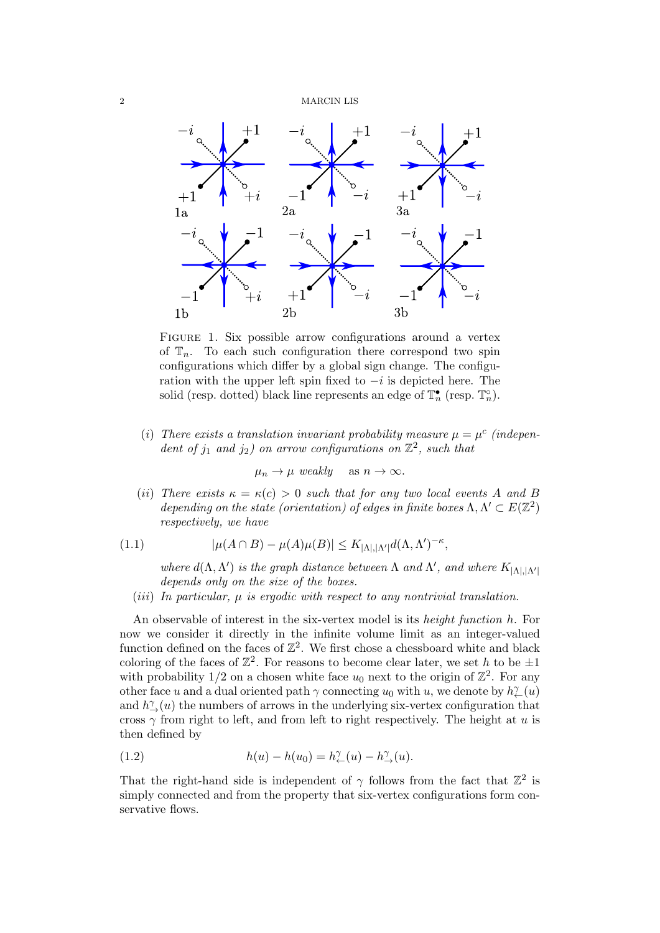<span id="page-1-0"></span>

FIGURE 1. Six possible arrow configurations around a vertex of  $\mathbb{T}_n$ . To each such configuration there correspond two spin configurations which differ by a global sign change. The configuration with the upper left spin fixed to  $-i$  is depicted here. The solid (resp. dotted) black line represents an edge of  $\mathbb{T}_n^{\bullet}$  (resp.  $\mathbb{T}_n^{\circ}$ ).

(i) There exists a translation invariant probability measure  $\mu = \mu^c$  (independent of  $j_1$  and  $j_2$ ) on arrow configurations on  $\mathbb{Z}^2$ , such that

$$
\mu_n \to \mu \text{ weakly} \quad \text{as } n \to \infty.
$$

(ii) There exists  $\kappa = \kappa(c) > 0$  such that for any two local events A and B depending on the state (orientation) of edges in finite boxes  $\Lambda, \Lambda' \subset E(\mathbb{Z}^2)$ respectively, we have

<span id="page-1-2"></span>(1.1) 
$$
|\mu(A \cap B) - \mu(A)\mu(B)| \le K_{|\Lambda|, |\Lambda'|} d(\Lambda, \Lambda')^{-\kappa},
$$

where  $d(\Lambda, \Lambda')$  is the graph distance between  $\Lambda$  and  $\Lambda'$ , and where  $K_{|\Lambda|, |\Lambda'|}$ depends only on the size of the boxes.

(iii) In particular,  $\mu$  is ergodic with respect to any nontrivial translation.

An observable of interest in the six-vertex model is its height function h. For now we consider it directly in the infinite volume limit as an integer-valued function defined on the faces of  $\mathbb{Z}^2$ . We first chose a chessboard white and black coloring of the faces of  $\mathbb{Z}^2$ . For reasons to become clear later, we set h to be  $\pm 1$ with probability  $1/2$  on a chosen white face  $u_0$  next to the origin of  $\mathbb{Z}^2$ . For any other face u and a dual oriented path  $\gamma$  connecting  $u_0$  with u, we denote by  $h^\gamma_{\leftarrow}(u)$ and  $h^{\gamma}_{\rightarrow}(u)$  the numbers of arrows in the underlying six-vertex configuration that cross  $\gamma$  from right to left, and from left to right respectively. The height at u is then defined by

<span id="page-1-1"></span>(1.2) 
$$
h(u) - h(u_0) = h^{\gamma}_{\leftarrow}(u) - h^{\gamma}_{\rightarrow}(u).
$$

That the right-hand side is independent of  $\gamma$  follows from the fact that  $\mathbb{Z}^2$  is simply connected and from the property that six-vertex configurations form conservative flows.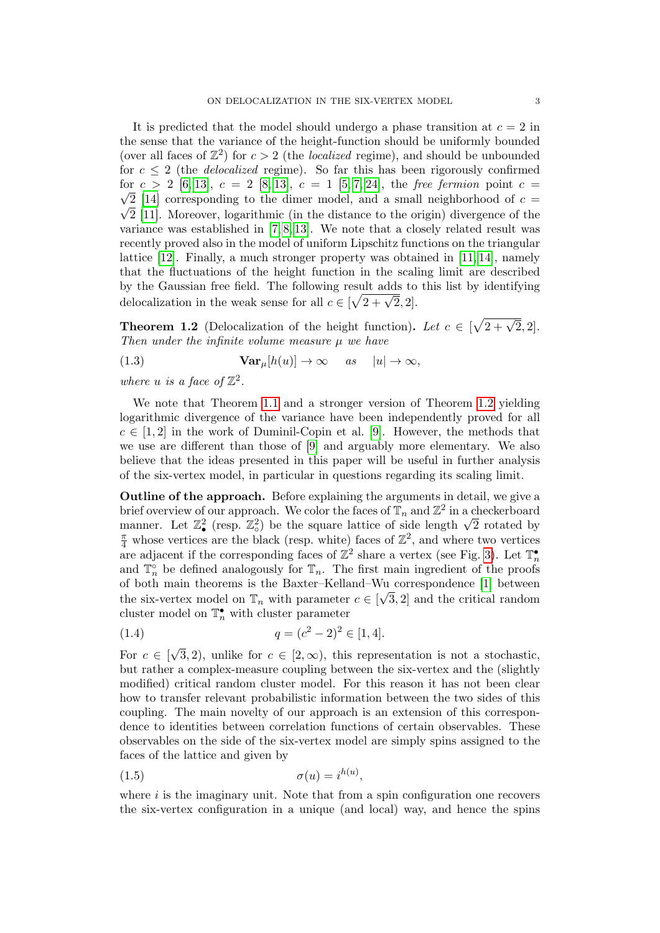It is predicted that the model should undergo a phase transition at  $c = 2$  in the sense that the variance of the height-function should be uniformly bounded (over all faces of  $\mathbb{Z}^2$ ) for  $c > 2$  (the *localized* regime), and should be unbounded for  $c \leq 2$  (the *delocalized* regime). So far this has been rigorously confirmed for  $c > 2$  [\[6,](#page-23-7) [13\]](#page-23-8),  $c = 2$  [\[8,](#page-23-9) 13],  $c = 1$  [\[5,](#page-23-10) [7,](#page-23-11) [24\]](#page-23-12), the free fermion point  $c =$  $\sqrt{2}$  [\[14\]](#page-23-13) corresponding to the dimer model, and a small neighborhood of  $c =$  $\sqrt{2}$  [\[11\]](#page-23-14). Moreover, logarithmic (in the distance to the origin) divergence of the variance was established in  $[7, 8, 13]$  $[7, 8, 13]$  $[7, 8, 13]$ . We note that a closely related result was recently proved also in the model of uniform Lipschitz functions on the triangular lattice  $[12]$ . Finally, a much stronger property was obtained in  $[11, 14]$  $[11, 14]$ , namely that the fluctuations of the height function in the scaling limit are described by the Gaussian free field. The following result adds to this list by identifying by the Gaussian free held. The following result adds to<br>delocalization in the weak sense for all  $c \in [\sqrt{2 + \sqrt{2}}, 2]$ .

<span id="page-2-0"></span>**Theorem 1.2** (Delocalization of the height function). Let  $c \in [\sqrt{2+\sqrt{2}},2]$ . Then under the infinite volume measure  $\mu$  we have

(1.3) 
$$
\mathbf{Var}_{\mu}[h(u)] \to \infty \quad as \quad |u| \to \infty,
$$

where u is a face of  $\mathbb{Z}^2$ .

We note that Theorem [1.1](#page-0-0) and a stronger version of Theorem [1.2](#page-2-0) yielding logarithmic divergence of the variance have been independently proved for all  $c \in [1,2]$  in the work of Duminil-Copin et al. [\[9\]](#page-23-16). However, the methods that we use are different than those of [\[9\]](#page-23-16) and arguably more elementary. We also believe that the ideas presented in this paper will be useful in further analysis of the six-vertex model, in particular in questions regarding its scaling limit.

Outline of the approach. Before explaining the arguments in detail, we give a brief overview of our approach. We color the faces of  $\mathbb{T}_n$  and  $\mathbb{Z}^2$  in a checkerboard brief overview of our approach. We color the faces of  $\mathbb{I}_n$  and  $\mathbb{Z}$ <sup>-</sup> in a checkerboard manner. Let  $\mathbb{Z}_\bullet^2$  (resp.  $\mathbb{Z}_\circ^2$ ) be the square lattice of side length  $\sqrt{2}$  rotated by  $\frac{\pi}{4}$  whose vertices are the black (resp. white) faces of  $\mathbb{Z}^2$ , and where two vertices are adjacent if the corresponding faces of  $\mathbb{Z}^2$  share a vertex (see Fig. [3\)](#page-6-0). Let  $\mathbb{T}_n^{\bullet}$ and  $\mathbb{T}_n^{\circ}$  be defined analogously for  $\mathbb{T}_n$ . The first main ingredient of the proofs of both main theorems is the Baxter–Kelland–Wu correspondence [\[1\]](#page-23-17) between √ the six-vertex model on  $\mathbb{T}_n$  with parameter  $c \in [\sqrt{3}, 2]$  and the critical random cluster model on  $\mathbb{T}_n^{\bullet}$  with cluster parameter

<span id="page-2-1"></span>(1.4) 
$$
q = (c^2 - 2)^2 \in [1, 4].
$$

For  $c \in [$ √ 3, 2), unlike for  $c \in [2,\infty)$ , this representation is not a stochastic, but rather a complex-measure coupling between the six-vertex and the (slightly modified) critical random cluster model. For this reason it has not been clear how to transfer relevant probabilistic information between the two sides of this coupling. The main novelty of our approach is an extension of this correspondence to identities between correlation functions of certain observables. These observables on the side of the six-vertex model are simply spins assigned to the faces of the lattice and given by

$$
\sigma(u) = i^{h(u)},
$$

where  $i$  is the imaginary unit. Note that from a spin configuration one recovers the six-vertex configuration in a unique (and local) way, and hence the spins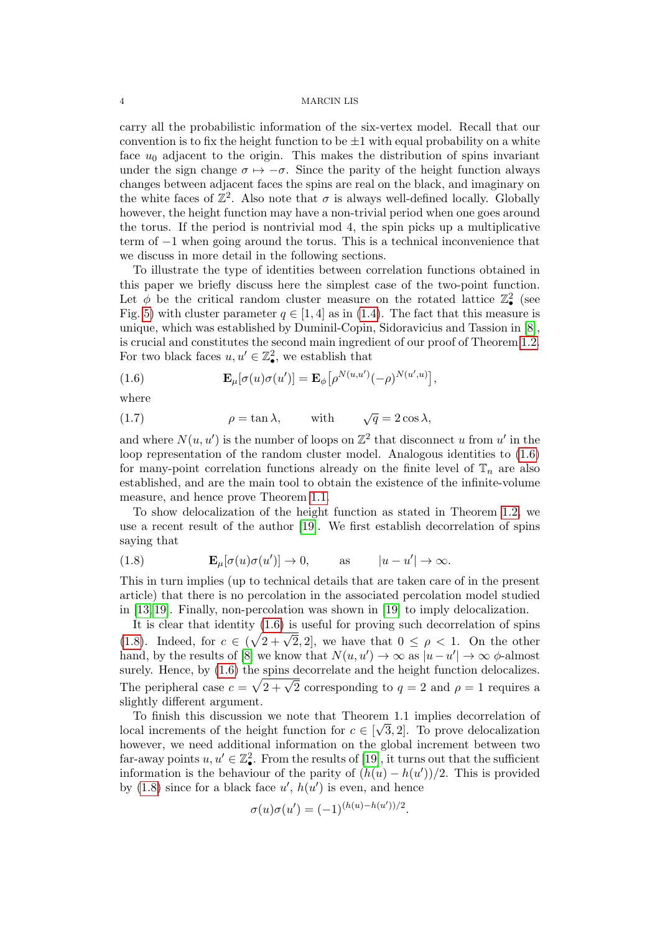carry all the probabilistic information of the six-vertex model. Recall that our convention is to fix the height function to be  $\pm 1$  with equal probability on a white face  $u_0$  adjacent to the origin. This makes the distribution of spins invariant under the sign change  $\sigma \mapsto -\sigma$ . Since the parity of the height function always changes between adjacent faces the spins are real on the black, and imaginary on the white faces of  $\mathbb{Z}^2$ . Also note that  $\sigma$  is always well-defined locally. Globally however, the height function may have a non-trivial period when one goes around the torus. If the period is nontrivial mod 4, the spin picks up a multiplicative term of −1 when going around the torus. This is a technical inconvenience that we discuss in more detail in the following sections.

To illustrate the type of identities between correlation functions obtained in this paper we briefly discuss here the simplest case of the two-point function. Let  $\phi$  be the critical random cluster measure on the rotated lattice  $\mathbb{Z}_\bullet^2$  (see Fig. [5\)](#page-9-0) with cluster parameter  $q \in [1, 4]$  as in [\(1.4\)](#page-2-1). The fact that this measure is unique, which was established by Duminil-Copin, Sidoravicius and Tassion in [\[8\]](#page-23-9), is crucial and constitutes the second main ingredient of our proof of Theorem [1.2.](#page-2-0) For two black faces  $u, u' \in \mathbb{Z}_\bullet^2$ , we establish that

<span id="page-3-0"></span>(1.6) 
$$
\mathbf{E}_{\mu}[\sigma(u)\sigma(u')] = \mathbf{E}_{\phi}[\rho^{N(u,u')}(-\rho)^{N(u',u)}],
$$

where

<span id="page-3-2"></span>(1.7) 
$$
\rho = \tan \lambda, \quad \text{with} \quad \sqrt{q} = 2\cos \lambda,
$$

and where  $N(u, u')$  is the number of loops on  $\mathbb{Z}^2$  that disconnect u from u' in the loop representation of the random cluster model. Analogous identities to  $(1.6)$ for many-point correlation functions already on the finite level of  $\mathbb{T}_n$  are also established, and are the main tool to obtain the existence of the infinite-volume measure, and hence prove Theorem [1.1.](#page-0-0)

To show delocalization of the height function as stated in Theorem [1.2,](#page-2-0) we use a recent result of the author [\[19\]](#page-23-18). We first establish decorrelation of spins saying that

<span id="page-3-1"></span>(1.8) 
$$
\mathbf{E}_{\mu}[\sigma(u)\sigma(u')] \to 0, \quad \text{as} \quad |u - u'| \to \infty.
$$

This in turn implies (up to technical details that are taken care of in the present article) that there is no percolation in the associated percolation model studied in [\[13,](#page-23-8) [19\]](#page-23-18). Finally, non-percolation was shown in [\[19\]](#page-23-18) to imply delocalization.

It is clear that identity [\(1.6\)](#page-3-0) is useful for proving such decorrelation of spins [\(1.8\)](#page-3-1). Indeed, for  $c \in (\sqrt{2} + \sqrt{2}, 2]$ , we have that  $0 \le \rho < 1$ . On the other hand, by the results of [\[8\]](#page-23-9) we know that  $N(u, u') \to \infty$  as  $|u - u'| \to \infty$   $\phi$ -almost surely. Hence, by  $(1.6)$  the spins decorrelate and the height function delocalizes. Surely. Hence, by (1.0) the spills decorrelate and the height function defocances.<br>The peripheral case  $c = \sqrt{2 + \sqrt{2}}$  corresponding to  $q = 2$  and  $\rho = 1$  requires a slightly different argument.

To finish this discussion we note that Theorem 1.1 implies decorrelation of local increments of the height function for  $c \in [\sqrt{3}, 2]$ . To prove delocalization however, we need additional information on the global increment between two far-away points  $u, u' \in \mathbb{Z}_\bullet^2$ . From the results of [\[19\]](#page-23-18), it turns out that the sufficient information is the behaviour of the parity of  $(h(u) - h(u'))/2$ . This is provided by  $(1.8)$  since for a black face  $u'$ ,  $h(u')$  is even, and hence

$$
\sigma(u)\sigma(u') = (-1)^{(h(u) - h(u'))/2}.
$$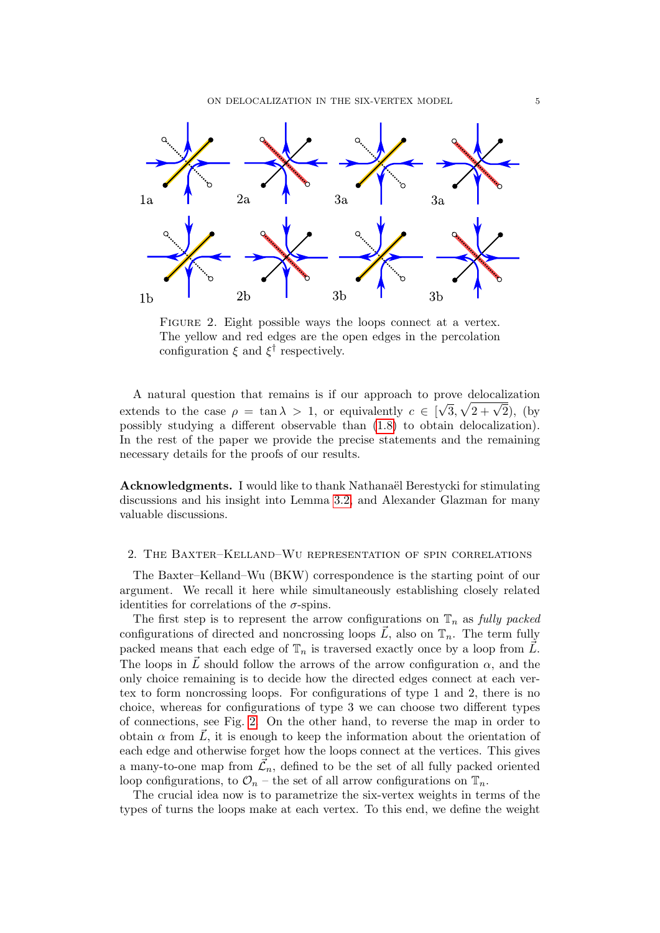ON DELOCALIZATION IN THE SIX-VERTEX MODEL 5

<span id="page-4-0"></span>

FIGURE 2. Eight possible ways the loops connect at a vertex. The yellow and red edges are the open edges in the percolation configuration  $\xi$  and  $\xi^{\dagger}$  respectively.

A natural question that remains is if our approach to prove delocalization extends to the case  $\rho = \tan \lambda > 1$ , or equivalently  $c \in [$ ⁄⊥ ເ<br>່  $\sqrt{3}, \sqrt{2 + \sqrt{2}},$  (by possibly studying a different observable than [\(1.8\)](#page-3-1) to obtain delocalization). In the rest of the paper we provide the precise statements and the remaining necessary details for the proofs of our results.

Acknowledgments. I would like to thank Nathanaël Berestycki for stimulating discussions and his insight into Lemma [3.2,](#page-12-0) and Alexander Glazman for many valuable discussions.

## 2. The Baxter–Kelland–Wu representation of spin correlations

The Baxter–Kelland–Wu (BKW) correspondence is the starting point of our argument. We recall it here while simultaneously establishing closely related identities for correlations of the  $\sigma$ -spins.

The first step is to represent the arrow configurations on  $\mathbb{T}_n$  as fully packed configurations of directed and noncrossing loops  $\tilde{L}$ , also on  $\mathbb{T}_n$ . The term fully packed means that each edge of  $\mathbb{T}_n$  is traversed exactly once by a loop from  $\vec{L}$ . The loops in  $\vec{L}$  should follow the arrows of the arrow configuration  $\alpha$ , and the only choice remaining is to decide how the directed edges connect at each vertex to form noncrossing loops. For configurations of type 1 and 2, there is no choice, whereas for configurations of type 3 we can choose two different types of connections, see Fig. [2.](#page-4-0) On the other hand, to reverse the map in order to obtain  $\alpha$  from  $\vec{L}$ , it is enough to keep the information about the orientation of each edge and otherwise forget how the loops connect at the vertices. This gives a many-to-one map from  $\mathcal{L}_n$ , defined to be the set of all fully packed oriented loop configurations, to  $\mathcal{O}_n$  – the set of all arrow configurations on  $\mathbb{T}_n$ .

The crucial idea now is to parametrize the six-vertex weights in terms of the types of turns the loops make at each vertex. To this end, we define the weight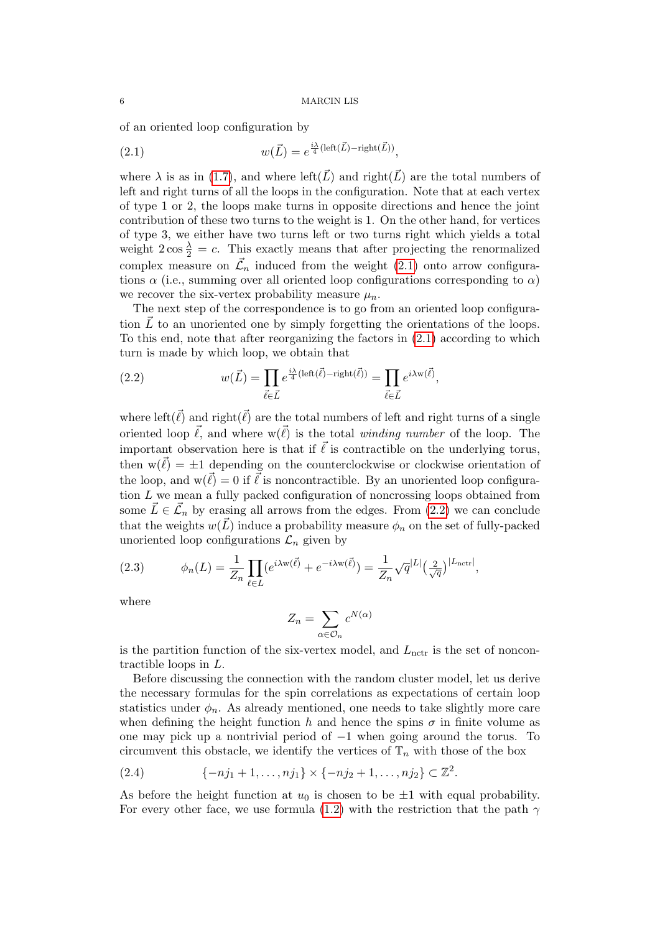of an oriented loop configuration by

<span id="page-5-0"></span>(2.1) 
$$
w(\vec{L}) = e^{\frac{i\lambda}{4}(\text{left}(\vec{L}) - \text{right}(\vec{L}))},
$$

where  $\lambda$  is as in [\(1.7\)](#page-3-2), and where left( $\vec{L}$ ) and right( $\vec{L}$ ) are the total numbers of left and right turns of all the loops in the configuration. Note that at each vertex of type 1 or 2, the loops make turns in opposite directions and hence the joint contribution of these two turns to the weight is 1. On the other hand, for vertices of type 3, we either have two turns left or two turns right which yields a total weight  $2 \cos \frac{\lambda}{2} = c$ . This exactly means that after projecting the renormalized complex measure on  $\mathcal{L}_n$  induced from the weight [\(2.1\)](#page-5-0) onto arrow configurations  $\alpha$  (i.e., summing over all oriented loop configurations corresponding to  $\alpha$ ) we recover the six-vertex probability measure  $\mu_n$ .

The next step of the correspondence is to go from an oriented loop configuration  $\vec{L}$  to an unoriented one by simply forgetting the orientations of the loops. To this end, note that after reorganizing the factors in [\(2.1\)](#page-5-0) according to which turn is made by which loop, we obtain that

<span id="page-5-1"></span>(2.2) 
$$
w(\vec{L}) = \prod_{\vec{\ell} \in \vec{L}} e^{\frac{i\lambda}{4}(\text{left}(\vec{\ell}) - \text{right}(\vec{\ell}))} = \prod_{\vec{\ell} \in \vec{L}} e^{i\lambda w(\vec{\ell})},
$$

where left( $\vec{\ell}$ ) and right( $\vec{\ell}$ ) are the total numbers of left and right turns of a single oriented loop  $\vec{\ell}$ , and where  $w(\vec{\ell})$  is the total *winding number* of the loop. The important observation here is that if  $\vec{\ell}$  is contractible on the underlying torus, then  $w(\vec{\ell}) = \pm 1$  depending on the counterclockwise or clockwise orientation of the loop, and  $w(\vec{\ell}) = 0$  if  $\vec{\ell}$  is noncontractible. By an unoriented loop configuration L we mean a fully packed configuration of noncrossing loops obtained from some  $\vec{L} \in \vec{\mathcal{L}}_n$  by erasing all arrows from the edges. From [\(2.2\)](#page-5-1) we can conclude that the weights  $w(L)$  induce a probability measure  $\phi_n$  on the set of fully-packed unoriented loop configurations  $\mathcal{L}_n$  given by

<span id="page-5-2"></span>(2.3) 
$$
\phi_n(L) = \frac{1}{Z_n} \prod_{\ell \in L} (e^{i\lambda w(\vec{\ell})} + e^{-i\lambda w(\vec{\ell})}) = \frac{1}{Z_n} \sqrt{q}^{|L|} \left(\frac{2}{\sqrt{q}}\right)^{|L_{\text{nctr}}|},
$$

where

$$
Z_n = \sum_{\alpha \in \mathcal{O}_n} c^{N(\alpha)}
$$

is the partition function of the six-vertex model, and  $L_{\text{nctr}}$  is the set of noncontractible loops in L.

Before discussing the connection with the random cluster model, let us derive the necessary formulas for the spin correlations as expectations of certain loop statistics under  $\phi_n$ . As already mentioned, one needs to take slightly more care when defining the height function h and hence the spins  $\sigma$  in finite volume as one may pick up a nontrivial period of −1 when going around the torus. To circumvent this obstacle, we identify the vertices of  $\mathbb{T}_n$  with those of the box

<span id="page-5-3"></span>
$$
(2.4) \qquad \{ -nj_1+1,\ldots, nj_1\} \times \{-nj_2+1,\ldots, nj_2\} \subset \mathbb{Z}^2.
$$

As before the height function at  $u_0$  is chosen to be  $\pm 1$  with equal probability. For every other face, we use formula [\(1.2\)](#page-1-1) with the restriction that the path  $\gamma$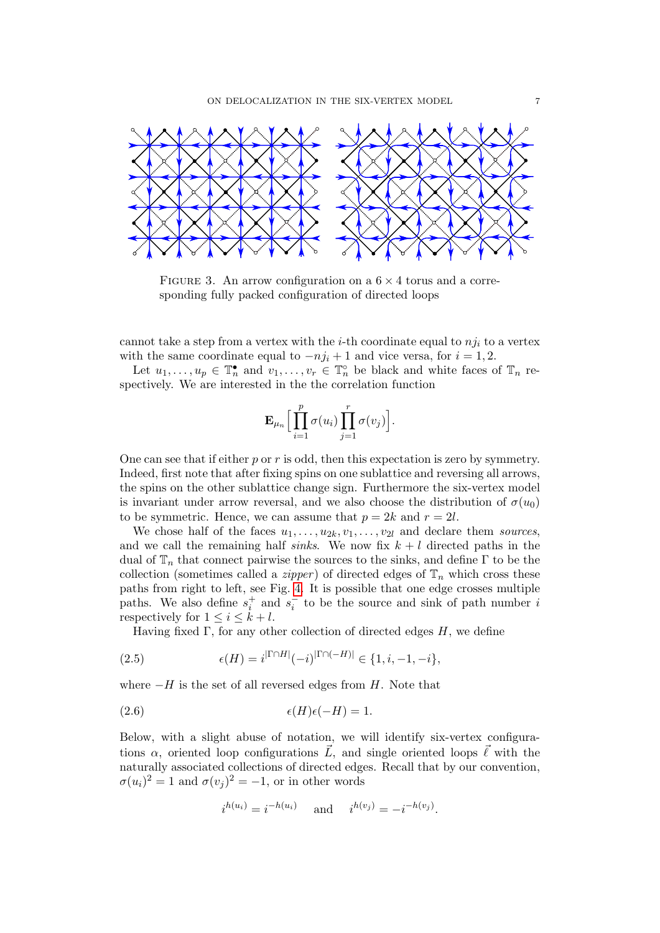<span id="page-6-0"></span>

FIGURE 3. An arrow configuration on a  $6 \times 4$  torus and a corresponding fully packed configuration of directed loops

cannot take a step from a vertex with the *i*-th coordinate equal to  $nj_i$  to a vertex with the same coordinate equal to  $-nj_i + 1$  and vice versa, for  $i = 1, 2$ .

Let  $u_1, \ldots, u_p \in \mathbb{T}_n^{\bullet}$  and  $v_1, \ldots, v_r \in \mathbb{T}_n^{\circ}$  be black and white faces of  $\mathbb{T}_n$  respectively. We are interested in the the correlation function

$$
\mathbf{E}_{\mu_n} \Big[ \prod_{i=1}^p \sigma(u_i) \prod_{j=1}^r \sigma(v_j) \Big].
$$

One can see that if either p or r is odd, then this expectation is zero by symmetry. Indeed, first note that after fixing spins on one sublattice and reversing all arrows, the spins on the other sublattice change sign. Furthermore the six-vertex model is invariant under arrow reversal, and we also choose the distribution of  $\sigma(u_0)$ to be symmetric. Hence, we can assume that  $p = 2k$  and  $r = 2l$ .

We chose half of the faces  $u_1, \ldots, u_{2k}, v_1, \ldots, v_{2l}$  and declare them sources, and we call the remaining half sinks. We now fix  $k + l$  directed paths in the dual of  $\mathbb{T}_n$  that connect pairwise the sources to the sinks, and define  $\Gamma$  to be the collection (sometimes called a *zipper*) of directed edges of  $\mathbb{T}_n$  which cross these paths from right to left, see Fig. [4.](#page-7-0) It is possible that one edge crosses multiple paths. We also define  $s_i^+$  and  $s_i^-$  to be the source and sink of path number i respectively for  $1 \leq i \leq k+l$ .

Having fixed  $\Gamma$ , for any other collection of directed edges H, we define

<span id="page-6-1"></span>(2.5) 
$$
\epsilon(H) = i^{|\Gamma \cap H|} (-i)^{|\Gamma \cap (-H)|} \in \{1, i, -1, -i\},
$$

where  $-H$  is the set of all reversed edges from H. Note that

$$
(2.6) \qquad \epsilon(H)\epsilon(-H) = 1.
$$

Below, with a slight abuse of notation, we will identify six-vertex configurations  $\alpha$ , oriented loop configurations  $\vec{L}$ , and single oriented loops  $\vec{\ell}$  with the naturally associated collections of directed edges. Recall that by our convention,  $\sigma(u_i)^2 = 1$  and  $\sigma(v_j)^2 = -1$ , or in other words

$$
i^{h(u_i)} = i^{-h(u_i)}
$$
 and  $i^{h(v_j)} = -i^{-h(v_j)}$ .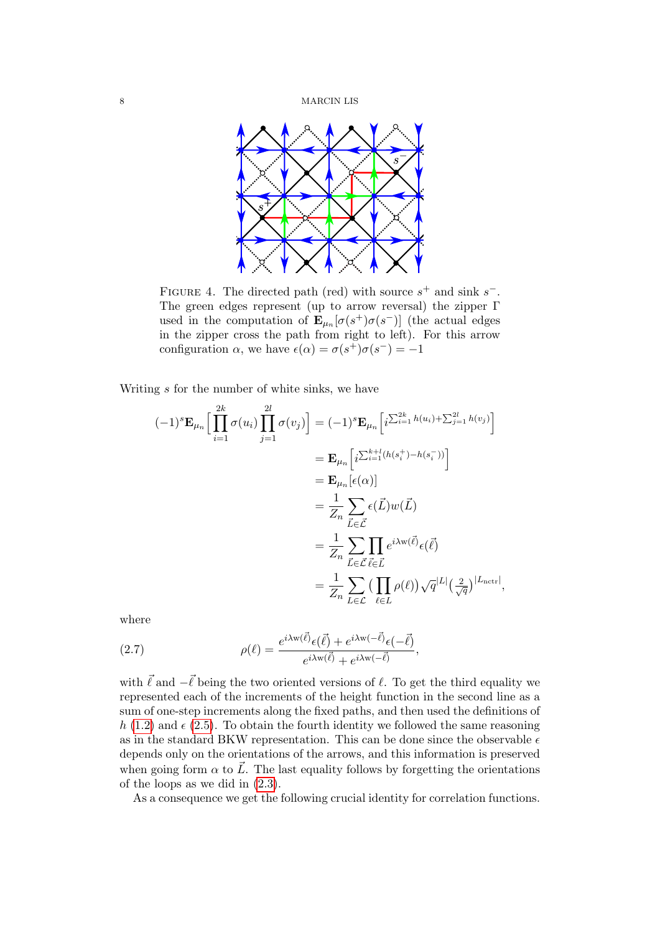<span id="page-7-0"></span>

FIGURE 4. The directed path (red) with source  $s^+$  and sink  $s^-$ . The green edges represent (up to arrow reversal) the zipper Γ used in the computation of  $\mathbf{E}_{\mu_n}[\sigma(s^+)\sigma(s^-)]$  (the actual edges in the zipper cross the path from right to left). For this arrow configuration  $\alpha$ , we have  $\epsilon(\alpha) = \sigma(s^+) \sigma(s^-) = -1$ 

Writing s for the number of white sinks, we have

$$
(-1)^{s} \mathbf{E}_{\mu_{n}} \Big[ \prod_{i=1}^{2k} \sigma(u_{i}) \prod_{j=1}^{2l} \sigma(v_{j}) \Big] = (-1)^{s} \mathbf{E}_{\mu_{n}} \Big[ i^{\sum_{i=1}^{2k} h(u_{i}) + \sum_{j=1}^{2l} h(v_{j})} \Big]
$$
  
\n
$$
= \mathbf{E}_{\mu_{n}} \Big[ i^{\sum_{i=1}^{k+l} (h(s_{i}^{+}) - h(s_{i}^{-}))} \Big]
$$
  
\n
$$
= \mathbf{E}_{\mu_{n}} [\epsilon(\alpha)]
$$
  
\n
$$
= \frac{1}{Z_{n}} \sum_{\vec{L} \in \vec{\mathcal{L}}} \epsilon(\vec{L}) w(\vec{L})
$$
  
\n
$$
= \frac{1}{Z_{n}} \sum_{\vec{L} \in \vec{\mathcal{L}}} \prod_{\vec{\ell} \in \vec{L}} e^{i \lambda w(\vec{\ell})} \epsilon(\vec{\ell})
$$
  
\n
$$
= \frac{1}{Z_{n}} \sum_{\vec{L} \in \vec{\mathcal{L}}} \left( \prod_{\ell \in L} \rho(\ell) \right) \sqrt{q}^{|L|} \left( \frac{2}{\sqrt{q}} \right)^{|L_{\text{nctr}}|},
$$

where

<span id="page-7-1"></span>(2.7) 
$$
\rho(\ell) = \frac{e^{i\lambda w(\vec{\ell})}\epsilon(\vec{\ell}) + e^{i\lambda w(-\vec{\ell})}\epsilon(-\vec{\ell})}{e^{i\lambda w(\vec{\ell})} + e^{i\lambda w(-\vec{\ell})}},
$$

with  $\vec{\ell}$  and  $-\vec{\ell}$  being the two oriented versions of  $\ell$ . To get the third equality we represented each of the increments of the height function in the second line as a sum of one-step increments along the fixed paths, and then used the definitions of h [\(1.2\)](#page-1-1) and  $\epsilon$  [\(2.5\)](#page-6-1). To obtain the fourth identity we followed the same reasoning as in the standard BKW representation. This can be done since the observable  $\epsilon$ depends only on the orientations of the arrows, and this information is preserved when going form  $\alpha$  to  $\vec{L}$ . The last equality follows by forgetting the orientations of the loops as we did in [\(2.3\)](#page-5-2).

As a consequence we get the following crucial identity for correlation functions.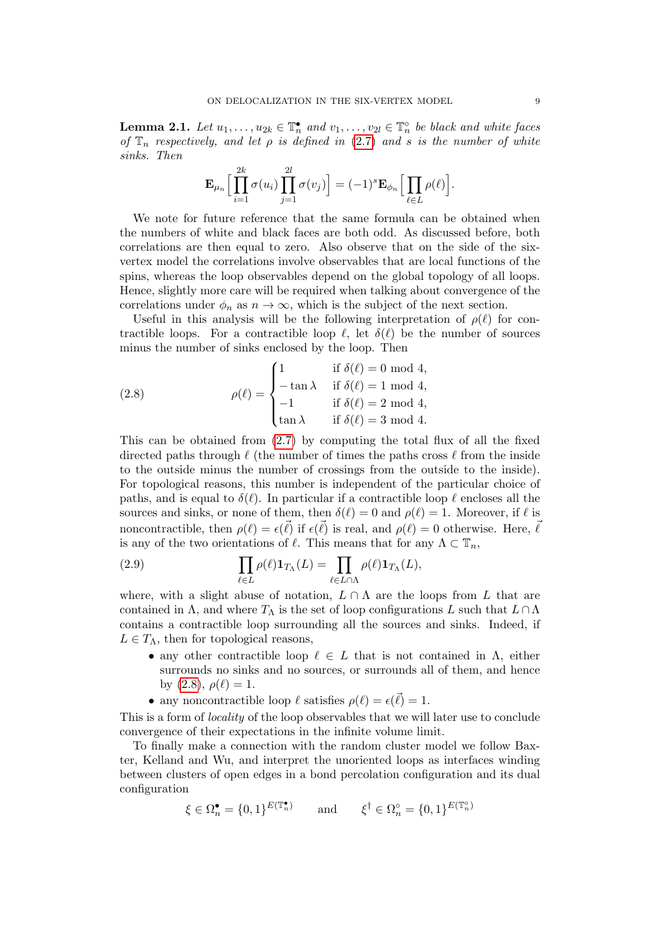<span id="page-8-1"></span>**Lemma 2.1.** Let  $u_1, \ldots, u_{2k} \in \mathbb{T}_n^{\bullet}$  and  $v_1, \ldots, v_{2l} \in \mathbb{T}_n^{\circ}$  be black and white faces of  $\mathbb{T}_n$  respectively, and let  $\rho$  is defined in [\(2.7\)](#page-7-1) and s is the number of white sinks. Then

$$
\mathbf{E}_{\mu_n}\Big[\prod_{i=1}^{2k}\sigma(u_i)\prod_{j=1}^{2l}\sigma(v_j)\Big] = (-1)^{s}\mathbf{E}_{\phi_n}\Big[\prod_{\ell\in L}\rho(\ell)\Big].
$$

We note for future reference that the same formula can be obtained when the numbers of white and black faces are both odd. As discussed before, both correlations are then equal to zero. Also observe that on the side of the sixvertex model the correlations involve observables that are local functions of the spins, whereas the loop observables depend on the global topology of all loops. Hence, slightly more care will be required when talking about convergence of the correlations under  $\phi_n$  as  $n \to \infty$ , which is the subject of the next section.

Useful in this analysis will be the following interpretation of  $\rho(\ell)$  for contractible loops. For a contractible loop  $\ell$ , let  $\delta(\ell)$  be the number of sources minus the number of sinks enclosed by the loop. Then

<span id="page-8-0"></span>(2.8) 
$$
\rho(\ell) = \begin{cases} 1 & \text{if } \delta(\ell) = 0 \text{ mod } 4, \\ -\tan \lambda & \text{if } \delta(\ell) = 1 \text{ mod } 4, \\ -1 & \text{if } \delta(\ell) = 2 \text{ mod } 4, \\ \tan \lambda & \text{if } \delta(\ell) = 3 \text{ mod } 4. \end{cases}
$$

This can be obtained from [\(2.7\)](#page-7-1) by computing the total flux of all the fixed directed paths through  $\ell$  (the number of times the paths cross  $\ell$  from the inside to the outside minus the number of crossings from the outside to the inside). For topological reasons, this number is independent of the particular choice of paths, and is equal to  $\delta(\ell)$ . In particular if a contractible loop  $\ell$  encloses all the sources and sinks, or none of them, then  $\delta(\ell) = 0$  and  $\rho(\ell) = 1$ . Moreover, if  $\ell$  is noncontractible, then  $\rho(\ell) = \epsilon(\vec{\ell})$  if  $\epsilon(\vec{\ell})$  is real, and  $\rho(\ell) = 0$  otherwise. Here,  $\vec{\ell}$ is any of the two orientations of  $\ell$ . This means that for any  $\Lambda \subset \mathbb{T}_n$ ,

<span id="page-8-2"></span>(2.9) 
$$
\prod_{\ell \in L} \rho(\ell) \mathbf{1}_{T_{\Lambda}}(L) = \prod_{\ell \in L \cap \Lambda} \rho(\ell) \mathbf{1}_{T_{\Lambda}}(L),
$$

where, with a slight abuse of notation,  $L \cap \Lambda$  are the loops from L that are contained in  $\Lambda$ , and where  $T_{\Lambda}$  is the set of loop configurations L such that  $L \cap \Lambda$ contains a contractible loop surrounding all the sources and sinks. Indeed, if  $L \in T_{\Lambda}$ , then for topological reasons,

- any other contractible loop  $\ell \in L$  that is not contained in  $\Lambda$ , either surrounds no sinks and no sources, or surrounds all of them, and hence by  $(2.8), \rho(\ell) = 1.$
- any noncontractible loop  $\ell$  satisfies  $\rho(\ell) = \epsilon(\vec{\ell}) = 1$ .

This is a form of locality of the loop observables that we will later use to conclude convergence of their expectations in the infinite volume limit.

To finally make a connection with the random cluster model we follow Baxter, Kelland and Wu, and interpret the unoriented loops as interfaces winding between clusters of open edges in a bond percolation configuration and its dual configuration

$$
\xi \in \Omega_n^{\bullet} = \{0, 1\}^{E(\mathbb{T}_n^{\bullet})} \quad \text{and} \quad \xi^{\dagger} \in \Omega_n^{\circ} = \{0, 1\}^{E(\mathbb{T}_n^{\circ})}
$$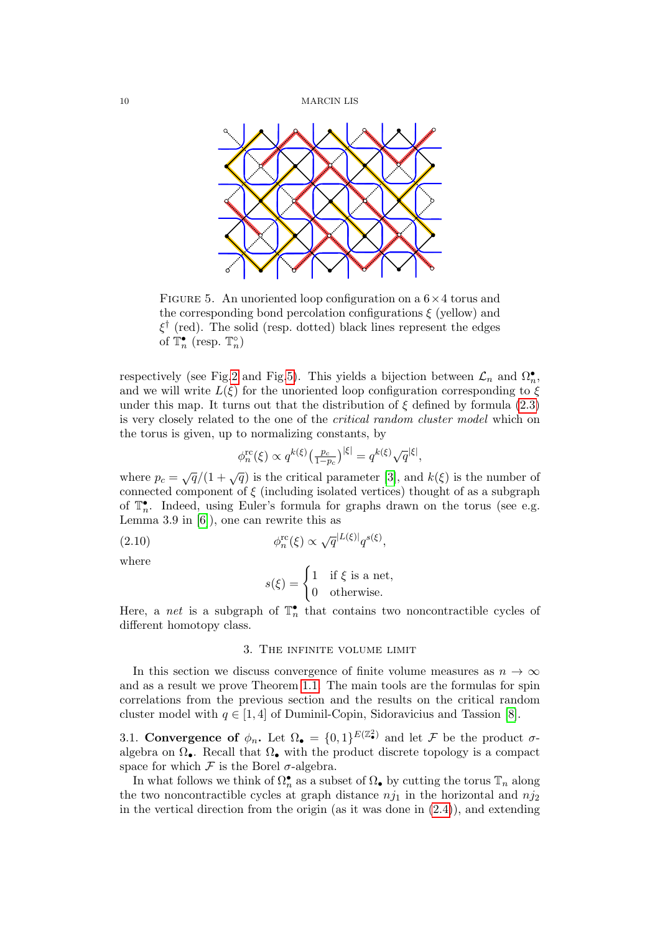<span id="page-9-0"></span>

FIGURE 5. An unoriented loop configuration on a  $6\times 4$  torus and the corresponding bond percolation configurations  $\xi$  (yellow) and  $\xi^{\dagger}$  (red). The solid (resp. dotted) black lines represent the edges of  $\mathbb{T}_n^{\bullet}$  (resp.  $\mathbb{T}_n^{\circ}$ )

respectively (see Fig[.2](#page-4-0) and Fig[.5\)](#page-9-0). This yields a bijection between  $\mathcal{L}_n$  and  $\Omega_n^{\bullet}$ , and we will write  $L(\xi)$  for the unoriented loop configuration corresponding to  $\xi$ under this map. It turns out that the distribution of  $\xi$  defined by formula [\(2.3\)](#page-5-2) is very closely related to the one of the critical random cluster model which on the torus is given, up to normalizing constants, by

$$
\phi_n^{\rm rc}(\xi) \propto q^{k(\xi)} \left( \frac{p_c}{1 - p_c} \right)^{|\xi|} = q^{k(\xi)} \sqrt{q}^{|\xi|},
$$

where  $p_c = \sqrt{q}/(1+\sqrt{q})$  is the critical parameter [\[3\]](#page-23-19), and  $k(\xi)$  is the number of connected component of  $\xi$  (including isolated vertices) thought of as a subgraph of  $\mathbb{T}_n^{\bullet}$ . Indeed, using Euler's formula for graphs drawn on the torus (see e.g. Lemma 3.9 in [\[6\]](#page-23-7)), one can rewrite this as

<span id="page-9-1"></span>(2.10) 
$$
\phi_n^{\text{rc}}(\xi) \propto \sqrt{q}^{|L(\xi)|} q^{s(\xi)},
$$

where

$$
s(\xi) = \begin{cases} 1 & \text{if } \xi \text{ is a net,} \\ 0 & \text{otherwise.} \end{cases}
$$

Here, a *net* is a subgraph of  $\mathbb{T}_n^{\bullet}$  that contains two noncontractible cycles of different homotopy class.

## 3. The infinite volume limit

In this section we discuss convergence of finite volume measures as  $n \to \infty$ and as a result we prove Theorem [1.1.](#page-0-0) The main tools are the formulas for spin correlations from the previous section and the results on the critical random cluster model with  $q \in [1, 4]$  of Duminil-Copin, Sidoravicius and Tassion [\[8\]](#page-23-9).

3.1. Convergence of  $\phi_n$ . Let  $\Omega_{\bullet} = \{0,1\}^{E(\mathbb{Z}_{\bullet}^2)}$  and let F be the product  $\sigma$ algebra on  $\Omega_{\bullet}$ . Recall that  $\Omega_{\bullet}$  with the product discrete topology is a compact space for which  $\mathcal F$  is the Borel  $\sigma$ -algebra.

In what follows we think of  $\Omega_n^{\bullet}$  as a subset of  $\Omega_{\bullet}$  by cutting the torus  $\mathbb{T}_n$  along the two noncontractible cycles at graph distance  $nj_1$  in the horizontal and  $nj_2$ in the vertical direction from the origin (as it was done in  $(2.4)$ ), and extending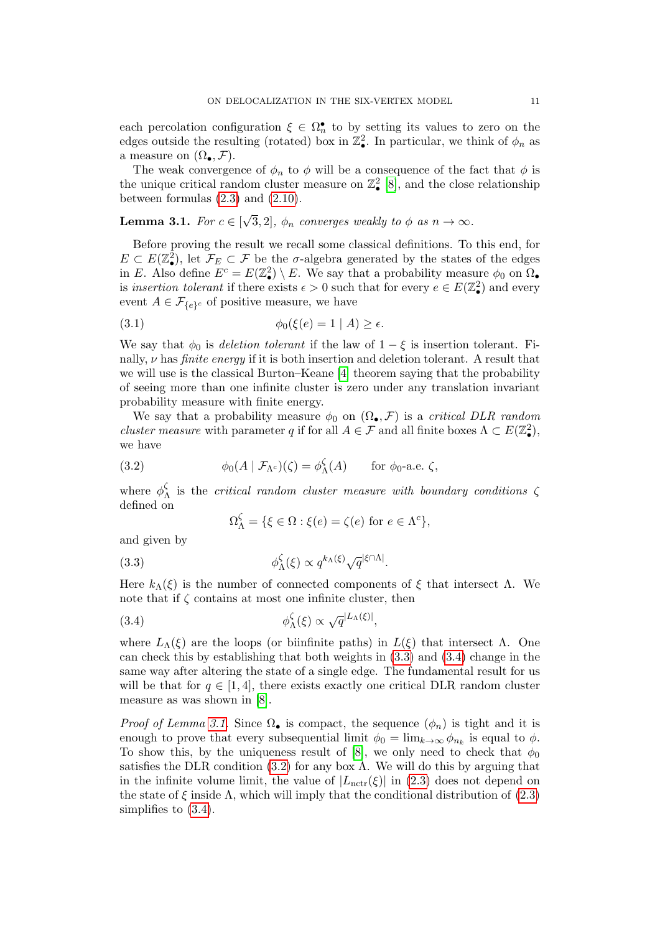each percolation configuration  $\xi \in \Omega_n^{\bullet}$  to by setting its values to zero on the edges outside the resulting (rotated) box in  $\mathbb{Z}_\bullet^2$ . In particular, we think of  $\phi_n$  as a measure on  $(\Omega_{\bullet}, \mathcal{F})$ .

The weak convergence of  $\phi_n$  to  $\phi$  will be a consequence of the fact that  $\phi$  is the unique critical random cluster measure on  $\mathbb{Z}_\bullet^2$  [\[8\]](#page-23-9), and the close relationship between formulas  $(2.3)$  and  $(2.10)$ .

#### <span id="page-10-2"></span>**Lemma 3.1.** For  $c \in [$ √ 3, 2],  $\phi_n$  converges weakly to  $\phi$  as  $n \to \infty$ .

Before proving the result we recall some classical definitions. To this end, for  $E \subset E(\mathbb{Z}_\bullet^2)$ , let  $\mathcal{F}_E \subset \mathcal{F}$  be the  $\sigma$ -algebra generated by the states of the edges in E. Also define  $E^c = E(\mathbb{Z}_\bullet^2) \setminus E$ . We say that a probability measure  $\phi_0$  on  $\Omega_\bullet$ is insertion tolerant if there exists  $\epsilon > 0$  such that for every  $e \in E(\mathbb{Z}_\bullet^2)$  and every event  $A \in \mathcal{F}_{\{e\}^c}$  of positive measure, we have

<span id="page-10-4"></span>
$$
\phi_0(\xi(e) = 1 \mid A) \ge \epsilon.
$$

We say that  $\phi_0$  is *deletion tolerant* if the law of  $1 - \xi$  is insertion tolerant. Finally,  $\nu$  has *finite energy* if it is both insertion and deletion tolerant. A result that we will use is the classical Burton–Keane [\[4\]](#page-23-20) theorem saying that the probability of seeing more than one infinite cluster is zero under any translation invariant probability measure with finite energy.

We say that a probability measure  $\phi_0$  on  $(\Omega_\bullet, \mathcal{F})$  is a *critical DLR random cluster measure with parameter q if for all*  $A \in \mathcal{F}$  and all finite boxes  $\Lambda \subset E(\mathbb{Z}_\bullet^2)$ , we have

<span id="page-10-3"></span>(3.2) 
$$
\phi_0(A \mid \mathcal{F}_{\Lambda^c})(\zeta) = \phi_{\Lambda}^{\zeta}(A) \quad \text{for } \phi_0 \text{-a.e. } \zeta,
$$

where  $\phi_{\ell}^{\zeta}$  $\lambda$  is the critical random cluster measure with boundary conditions  $\zeta$ defined on

$$
\Omega_{\Lambda}^{\zeta} = \{ \xi \in \Omega : \xi(e) = \zeta(e) \text{ for } e \in \Lambda^c \},
$$

and given by

<span id="page-10-0"></span>(3.3) 
$$
\phi_{\Lambda}^{\zeta}(\xi) \propto q^{k_{\Lambda}(\xi)} \sqrt{q}^{|\xi \cap \Lambda|}.
$$

Here  $k_\Lambda(\xi)$  is the number of connected components of  $\xi$  that intersect  $\Lambda$ . We note that if  $\zeta$  contains at most one infinite cluster, then

<span id="page-10-1"></span>(3.4) 
$$
\phi_{\Lambda}^{\zeta}(\xi) \propto \sqrt{q}^{|L_{\Lambda}(\xi)|},
$$

where  $L_{\Lambda}(\xi)$  are the loops (or biinfinite paths) in  $L(\xi)$  that intersect  $\Lambda$ . One can check this by establishing that both weights in [\(3.3\)](#page-10-0) and [\(3.4\)](#page-10-1) change in the same way after altering the state of a single edge. The fundamental result for us will be that for  $q \in [1, 4]$ , there exists exactly one critical DLR random cluster measure as was shown in [\[8\]](#page-23-9).

*Proof of Lemma [3.1.](#page-10-2)* Since  $\Omega_{\bullet}$  is compact, the sequence  $(\phi_n)$  is tight and it is enough to prove that every subsequential limit  $\phi_0 = \lim_{k \to \infty} \phi_{n_k}$  is equal to  $\phi$ . To show this, by the uniqueness result of [\[8\]](#page-23-9), we only need to check that  $\phi_0$ satisfies the DLR condition  $(3.2)$  for any box  $\Lambda$ . We will do this by arguing that in the infinite volume limit, the value of  $|L_{\text{nctr}}(\xi)|$  in [\(2.3\)](#page-5-2) does not depend on the state of  $\xi$  inside  $\Lambda$ , which will imply that the conditional distribution of [\(2.3\)](#page-5-2) simplifies to [\(3.4\)](#page-10-1).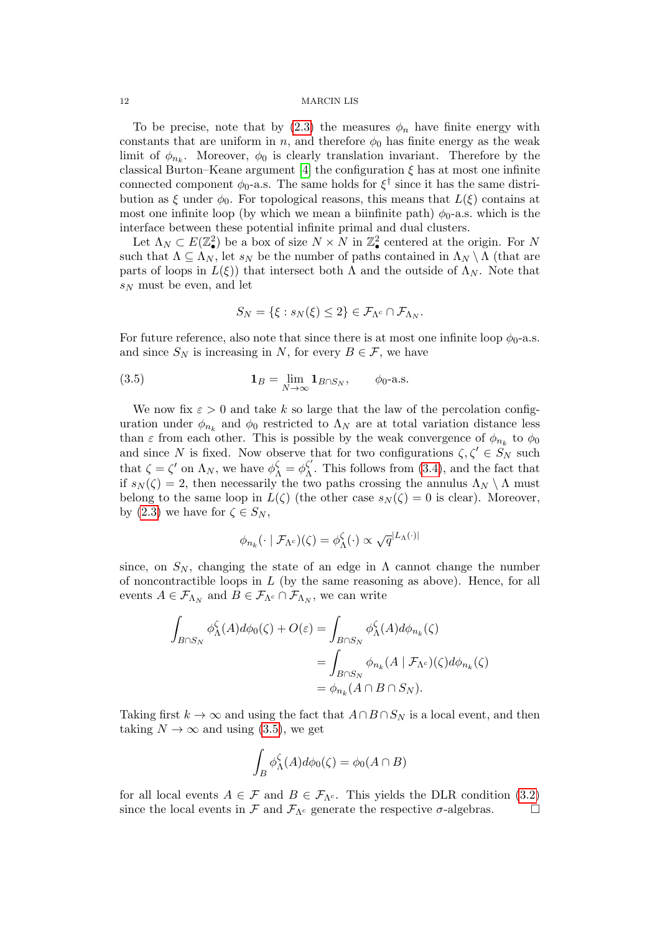To be precise, note that by  $(2.3)$  the measures  $\phi_n$  have finite energy with constants that are uniform in n, and therefore  $\phi_0$  has finite energy as the weak limit of  $\phi_{n_k}$ . Moreover,  $\phi_0$  is clearly translation invariant. Therefore by the classical Burton–Keane argument [\[4\]](#page-23-20) the configuration  $\xi$  has at most one infinite connected component  $\phi_0$ -a.s. The same holds for  $\xi^{\dagger}$  since it has the same distribution as  $\xi$  under  $\phi_0$ . For topological reasons, this means that  $L(\xi)$  contains at most one infinite loop (by which we mean a biinfinite path)  $\phi_0$ -a.s. which is the interface between these potential infinite primal and dual clusters.

Let  $\Lambda_N \subset E(\mathbb{Z}_\bullet^2)$  be a box of size  $N \times N$  in  $\mathbb{Z}_\bullet^2$  centered at the origin. For N such that  $\Lambda \subseteq \Lambda_N$ , let  $s_N$  be the number of paths contained in  $\Lambda_N \setminus \Lambda$  (that are parts of loops in  $L(\xi)$  that intersect both  $\Lambda$  and the outside of  $\Lambda_N$ . Note that  $s_N$  must be even, and let

$$
S_N = \{ \xi : s_N(\xi) \leq 2 \} \in \mathcal{F}_{\Lambda^c} \cap \mathcal{F}_{\Lambda_N}.
$$

For future reference, also note that since there is at most one infinite loop  $\phi_0$ -a.s. and since  $S_N$  is increasing in N, for every  $B \in \mathcal{F}$ , we have

<span id="page-11-0"></span>(3.5) 
$$
\mathbf{1}_B = \lim_{N \to \infty} \mathbf{1}_{B \cap S_N}, \qquad \phi_0 \text{-a.s.}
$$

We now fix  $\varepsilon > 0$  and take k so large that the law of the percolation configuration under  $\phi_{n_k}$  and  $\phi_0$  restricted to  $\Lambda_N$  are at total variation distance less than  $\varepsilon$  from each other. This is possible by the weak convergence of  $\phi_{n_k}$  to  $\phi_0$ and since N is fixed. Now observe that for two configurations  $\zeta, \zeta' \in S_N$  such that  $\zeta = \zeta'$  on  $\Lambda_N$ , we have  $\phi_{\Lambda}^{\zeta} = \phi_{\Lambda}^{\zeta'}$  $\Lambda$ . This follows from [\(3.4\)](#page-10-1), and the fact that if  $s_N(\zeta) = 2$ , then necessarily the two paths crossing the annulus  $\Lambda_N \setminus \Lambda$  must belong to the same loop in  $L(\zeta)$  (the other case  $s_N(\zeta) = 0$  is clear). Moreover, by [\(2.3\)](#page-5-2) we have for  $\zeta \in S_N$ ,

$$
\phi_{n_k}(\cdot \mid \mathcal{F}_{\Lambda^c})(\zeta) = \phi_{\Lambda}^{\zeta}(\cdot) \propto \sqrt{q}^{|L_{\Lambda}(\cdot)|}
$$

since, on  $S_N$ , changing the state of an edge in  $\Lambda$  cannot change the number of noncontractible loops in  $L$  (by the same reasoning as above). Hence, for all events  $A \in \mathcal{F}_{\Lambda_N}$  and  $B \in \mathcal{F}_{\Lambda^c} \cap \mathcal{F}_{\Lambda_N}$ , we can write

$$
\int_{B \cap S_N} \phi_{\Lambda}^{\zeta}(A) d\phi_0(\zeta) + O(\varepsilon) = \int_{B \cap S_N} \phi_{\Lambda}^{\zeta}(A) d\phi_{n_k}(\zeta)
$$

$$
= \int_{B \cap S_N} \phi_{n_k}(A \mid \mathcal{F}_{\Lambda^c})(\zeta) d\phi_{n_k}(\zeta)
$$

$$
= \phi_{n_k}(A \cap B \cap S_N).
$$

Taking first  $k \to \infty$  and using the fact that  $A \cap B \cap S_N$  is a local event, and then taking  $N \to \infty$  and using [\(3.5\)](#page-11-0), we get

$$
\int_B \phi_\Lambda^{\zeta}(A) d\phi_0(\zeta) = \phi_0(A \cap B)
$$

for all local events  $A \in \mathcal{F}$  and  $B \in \mathcal{F}_{\Lambda_c}$ . This yields the DLR condition [\(3.2\)](#page-10-3) since the local events in  $\mathcal F$  and  $\mathcal F_{\Lambda^c}$  generate the respective  $\sigma$ -algebras.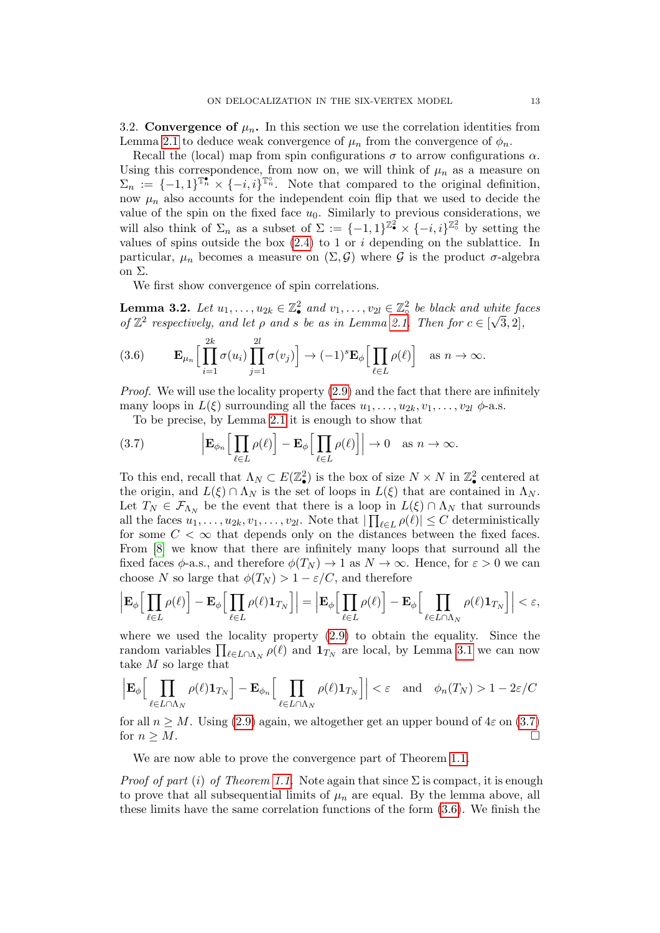3.2. Convergence of  $\mu_n$ . In this section we use the correlation identities from Lemma [2.1](#page-8-1) to deduce weak convergence of  $\mu_n$  from the convergence of  $\phi_n$ .

Recall the (local) map from spin configurations  $\sigma$  to arrow configurations  $\alpha$ . Using this correspondence, from now on, we will think of  $\mu_n$  as a measure on  $\Sigma_n := \{-1,1\}^{\mathbb{T}_n} \times \{-i,i\}^{\mathbb{T}_n}$ . Note that compared to the original definition, now  $\mu_n$  also accounts for the independent coin flip that we used to decide the value of the spin on the fixed face  $u_0$ . Similarly to previous considerations, we will also think of  $\Sigma_n$  as a subset of  $\Sigma := \{-1,1\}^{\mathbb{Z}_2} \times \{-i,i\}^{\mathbb{Z}_2}$  by setting the values of spins outside the box  $(2.4)$  to 1 or i depending on the sublattice. In particular,  $\mu_n$  becomes a measure on  $(\Sigma, \mathcal{G})$  where G is the product  $\sigma$ -algebra on Σ.

We first show convergence of spin correlations.

<span id="page-12-0"></span>**Lemma 3.2.** Let  $u_1, \ldots, u_{2k} \in \mathbb{Z}_\bullet^2$  and  $v_1, \ldots, v_{2l} \in \mathbb{Z}_\circ^2$  be black and white faces of  $\mathbb{Z}^2$  respectively, and let  $\rho$  and  $s$  be as in Lemma [2.1.](#page-8-1) Then for  $c \in [\sqrt{3}, 2]$ ,

<span id="page-12-2"></span>(3.6) 
$$
\mathbf{E}_{\mu_n} \Big[ \prod_{i=1}^{2k} \sigma(u_i) \prod_{j=1}^{2l} \sigma(v_j) \Big] \to (-1)^s \mathbf{E}_{\phi} \Big[ \prod_{\ell \in L} \rho(\ell) \Big] \text{ as } n \to \infty.
$$

*Proof.* We will use the locality property  $(2.9)$  and the fact that there are infinitely many loops in  $L(\xi)$  surrounding all the faces  $u_1, \ldots, u_{2k}, v_1, \ldots, v_{2l} \phi$ -a.s.

To be precise, by Lemma [2.1](#page-8-1) it is enough to show that

<span id="page-12-1"></span>(3.7) 
$$
\left| \mathbf{E}_{\phi_n} \Big[ \prod_{\ell \in L} \rho(\ell) \Big] - \mathbf{E}_{\phi} \Big[ \prod_{\ell \in L} \rho(\ell) \Big] \right| \to 0 \quad \text{as } n \to \infty.
$$

To this end, recall that  $\Lambda_N \subset E(\mathbb{Z}_\bullet^2)$  is the box of size  $N \times N$  in  $\mathbb{Z}_\bullet^2$  centered at the origin, and  $L(\xi) \cap \Lambda_N$  is the set of loops in  $L(\xi)$  that are contained in  $\Lambda_N$ . Let  $T_N \in \mathcal{F}_{\Lambda_N}$  be the event that there is a loop in  $L(\xi) \cap \Lambda_N$  that surrounds all the faces  $u_1, \ldots, u_{2k}, v_1, \ldots, v_{2l}$ . Note that  $|\prod_{\ell \in L} \rho(\ell)| \leq C$  deterministically for some  $C < \infty$  that depends only on the distances between the fixed faces. From [\[8\]](#page-23-9) we know that there are infinitely many loops that surround all the fixed faces  $\phi$ -a.s., and therefore  $\phi(T_N) \to 1$  as  $N \to \infty$ . Hence, for  $\varepsilon > 0$  we can choose N so large that  $\phi(T_N) > 1 - \varepsilon / C$ , and therefore

$$
\Big|\mathbf{E}_{\phi}\Big[\prod_{\ell\in L}\rho(\ell)\Big]-\mathbf{E}_{\phi}\Big[\prod_{\ell\in L}\rho(\ell)\mathbf{1}_{T_{N}}\Big]\Big|=\Big|\mathbf{E}_{\phi}\Big[\prod_{\ell\in L}\rho(\ell)\Big]-\mathbf{E}_{\phi}\Big[\prod_{\ell\in L\cap\Lambda_{N}}\rho(\ell)\mathbf{1}_{T_{N}}\Big]\Big|<\varepsilon,
$$

where we used the locality property [\(2.9\)](#page-8-2) to obtain the equality. Since the random variables  $\prod_{\ell \in L \cap \Lambda_N} \rho(\ell)$  and  $\mathbf{1}_{T_N}$  are local, by Lemma [3.1](#page-10-2) we can now take M so large that

$$
\left| \mathbf{E}_{\phi} \Big[ \prod_{\ell \in L \cap \Lambda_N} \rho(\ell) \mathbf{1}_{T_N} \right] - \mathbf{E}_{\phi_n} \Big[ \prod_{\ell \in L \cap \Lambda_N} \rho(\ell) \mathbf{1}_{T_N} \Big] \Big| < \varepsilon \quad \text{and} \quad \phi_n(T_N) > 1 - 2\varepsilon/C
$$

for all  $n > M$ . Using [\(2.9\)](#page-8-2) again, we altogether get an upper bound of  $4\varepsilon$  on [\(3.7\)](#page-12-1) for  $n \geq M$ .

We are now able to prove the convergence part of Theorem [1.1.](#page-0-0)

*Proof of part (i) of Theorem [1.1.](#page-0-0)* Note again that since  $\Sigma$  is compact, it is enough to prove that all subsequential limits of  $\mu_n$  are equal. By the lemma above, all these limits have the same correlation functions of the form [\(3.6\)](#page-12-2). We finish the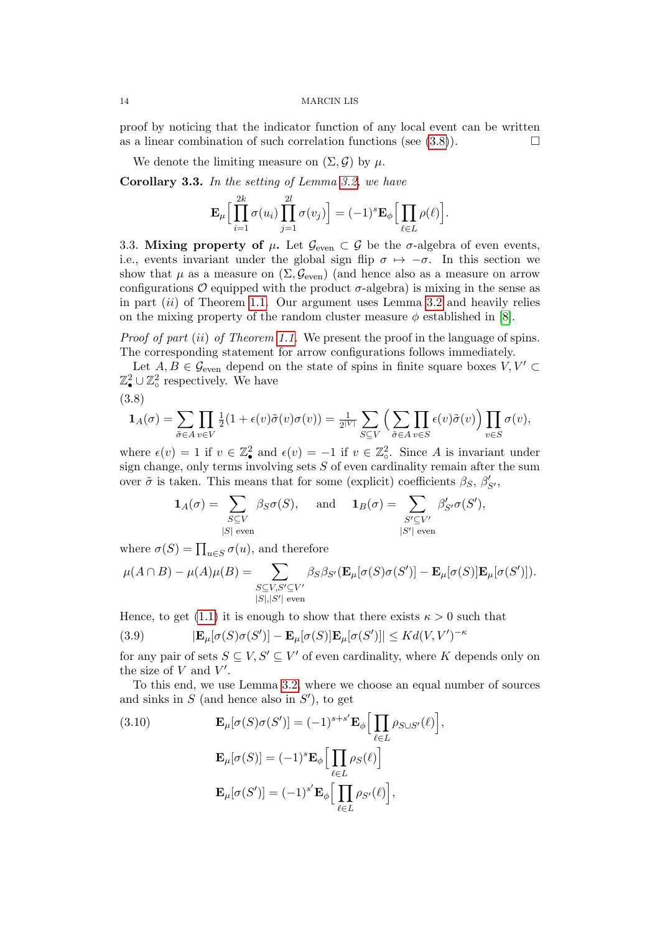proof by noticing that the indicator function of any local event can be written as a linear combination of such correlation functions (see  $(3.8)$ ).

We denote the limiting measure on  $(\Sigma, \mathcal{G})$  by  $\mu$ .

<span id="page-13-3"></span>Corollary 3.3. In the setting of Lemma [3.2,](#page-12-0) we have

$$
\mathbf{E}_{\mu} \Big[ \prod_{i=1}^{2k} \sigma(u_i) \prod_{j=1}^{2l} \sigma(v_j) \Big] = (-1)^{s} \mathbf{E}_{\phi} \Big[ \prod_{\ell \in L} \rho(\ell) \Big].
$$

3.3. Mixing property of  $\mu$ . Let  $\mathcal{G}_{even} \subset \mathcal{G}$  be the  $\sigma$ -algebra of even events, i.e., events invariant under the global sign flip  $\sigma \mapsto -\sigma$ . In this section we show that  $\mu$  as a measure on  $(\Sigma, \mathcal{G}_{even})$  (and hence also as a measure on arrow configurations  $\mathcal O$  equipped with the product  $\sigma$ -algebra) is mixing in the sense as in part  $(ii)$  of Theorem [1.1.](#page-0-0) Our argument uses Lemma [3.2](#page-12-0) and heavily relies on the mixing property of the random cluster measure  $\phi$  established in [\[8\]](#page-23-9).

Proof of part (ii) of Theorem [1.1.](#page-0-0) We present the proof in the language of spins. The corresponding statement for arrow configurations follows immediately.

Let  $A, B \in \mathcal{G}_{even}$  depend on the state of spins in finite square boxes  $V, V' \subset$  $\mathbb{Z}_{\bullet}^2 \cup \mathbb{Z}_{\circ}^2$  respectively. We have

<span id="page-13-0"></span>
$$
(3.8)
$$

$$
\mathbf{1}_A(\sigma) = \sum_{\tilde{\sigma} \in A} \prod_{v \in V} \tfrac{1}{2}(1+\epsilon(v)\tilde{\sigma}(v)\sigma(v)) = \tfrac{1}{2^{|V|}} \sum_{S \subseteq V} \Big( \sum_{\tilde{\sigma} \in A} \prod_{v \in S} \epsilon(v)\tilde{\sigma}(v) \Big) \prod_{v \in S} \sigma(v),
$$

where  $\epsilon(v) = 1$  if  $v \in \mathbb{Z}_\bullet^2$  and  $\epsilon(v) = -1$  if  $v \in \mathbb{Z}_\circ^2$ . Since A is invariant under sign change, only terms involving sets  $S$  of even cardinality remain after the sum over  $\tilde{\sigma}$  is taken. This means that for some (explicit) coefficients  $\beta_S$ ,  $\beta'_{S'}$ ,

$$
\mathbf{1}_A(\sigma) = \sum_{\substack{S \subseteq V \\ |S| \text{ even}}} \beta_S \sigma(S), \quad \text{and} \quad \mathbf{1}_B(\sigma) = \sum_{\substack{S' \subseteq V' \\ |S'| \text{ even}}} \beta'_{S'} \sigma(S'),
$$

where  $\sigma(S) = \prod_{u \in S} \sigma(u)$ , and therefore

$$
\mu(A \cap B) - \mu(A)\mu(B) = \sum_{\substack{S \subseteq V, S' \subseteq V' \\ |S|, |S'| \text{ even}}} \beta_S \beta_{S'}(\mathbf{E}_{\mu}[\sigma(S)\sigma(S')] - \mathbf{E}_{\mu}[\sigma(S)]\mathbf{E}_{\mu}[\sigma(S')]).
$$

Hence, to get [\(1.1\)](#page-1-2) it is enough to show that there exists  $\kappa > 0$  such that

<span id="page-13-2"></span>(3.9) 
$$
|\mathbf{E}_{\mu}[\sigma(S)\sigma(S')] - \mathbf{E}_{\mu}[\sigma(S)]\mathbf{E}_{\mu}[\sigma(S')]| \leq K d(V,V')^{-\kappa}
$$

for any pair of sets  $S \subseteq V, S' \subseteq V'$  of even cardinality, where K depends only on the size of  $V$  and  $V'$ .

To this end, we use Lemma [3.2,](#page-12-0) where we choose an equal number of sources and sinks in  $S$  (and hence also in  $S'$ ), to get

<span id="page-13-1"></span>(3.10) 
$$
\mathbf{E}_{\mu}[\sigma(S)\sigma(S')] = (-1)^{s+s'} \mathbf{E}_{\phi} \Big[ \prod_{\ell \in L} \rho_{S \cup S'}(\ell) \Big],
$$

$$
\mathbf{E}_{\mu}[\sigma(S)] = (-1)^{s} \mathbf{E}_{\phi} \Big[ \prod_{\ell \in L} \rho_{S}(\ell) \Big]
$$

$$
\mathbf{E}_{\mu}[\sigma(S')] = (-1)^{s'} \mathbf{E}_{\phi} \Big[ \prod_{\ell \in L} \rho_{S'}(\ell) \Big],
$$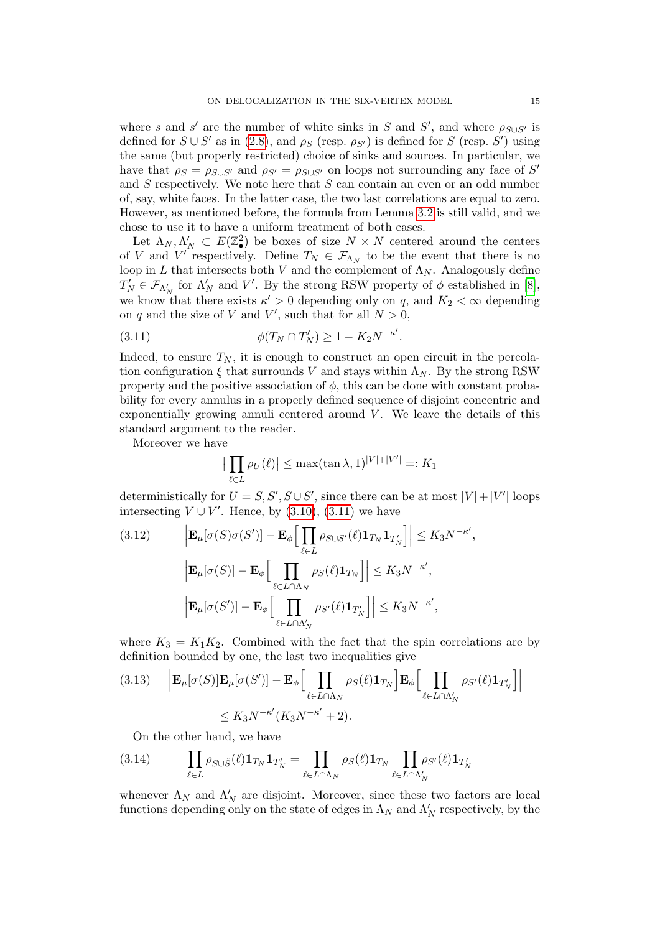where s and s' are the number of white sinks in S and S', and where  $\rho_{S\cup S'}$  is defined for  $S \cup S'$  as in [\(2.8\)](#page-8-0), and  $\rho_S$  (resp.  $\rho_{S'}$ ) is defined for S (resp. S') using the same (but properly restricted) choice of sinks and sources. In particular, we have that  $\rho_S = \rho_{S \cup S'}$  and  $\rho_{S'} = \rho_{S \cup S'}$  on loops not surrounding any face of S<sup>'</sup> and S respectively. We note here that S can contain an even or an odd number of, say, white faces. In the latter case, the two last correlations are equal to zero. However, as mentioned before, the formula from Lemma [3.2](#page-12-0) is still valid, and we chose to use it to have a uniform treatment of both cases.

Let  $\Lambda_N, \Lambda'_N \subset E(\mathbb{Z}_\bullet^2)$  be boxes of size  $N \times N$  centered around the centers of V and V' respectively. Define  $T_N \in \mathcal{F}_{\Lambda_N}$  to be the event that there is no loop in L that intersects both V and the complement of  $\Lambda_N$ . Analogously define  $T_N' \in \mathcal{F}_{\Lambda'_N}$  for  $\Lambda'_N$  and V'. By the strong RSW property of  $\phi$  established in [\[8\]](#page-23-9), we know that there exists  $\kappa' > 0$  depending only on q, and  $K_2 < \infty$  depending on q and the size of V and V', such that for all  $N > 0$ ,

<span id="page-14-0"></span>(3.11) 
$$
\phi(T_N \cap T'_N) \ge 1 - K_2 N^{-\kappa'}.
$$

Indeed, to ensure  $T_N$ , it is enough to construct an open circuit in the percolation configuration  $\xi$  that surrounds V and stays within  $\Lambda_N$ . By the strong RSW property and the positive association of  $\phi$ , this can be done with constant probability for every annulus in a properly defined sequence of disjoint concentric and exponentially growing annuli centered around  $V$ . We leave the details of this standard argument to the reader.

Moreover we have

$$
\left|\prod_{\ell \in L} \rho_U(\ell)\right| \le \max(\tan \lambda, 1)^{|V| + |V'|} =: K_1
$$

deterministically for  $U = S, S', S \cup S'$ , since there can be at most  $|V| + |V'|$  loops intersecting  $V \cup V'$ . Hence, by  $(3.10)$ ,  $(3.11)$  we have

<span id="page-14-1"></span>(3.12) 
$$
\left| \mathbf{E}_{\mu}[\sigma(S)\sigma(S')] - \mathbf{E}_{\phi} \Big[ \prod_{\ell \in L} \rho_{S \cup S'}(\ell) \mathbf{1}_{T_N} \mathbf{1}_{T'_N} \Big] \right| \leq K_3 N^{-\kappa'},
$$

$$
\left| \mathbf{E}_{\mu}[\sigma(S)] - \mathbf{E}_{\phi} \Big[ \prod_{\ell \in L \cap \Lambda_N} \rho_S(\ell) \mathbf{1}_{T_N} \Big] \right| \leq K_3 N^{-\kappa'},
$$

$$
\left| \mathbf{E}_{\mu}[\sigma(S')] - \mathbf{E}_{\phi} \Big[ \prod_{\ell \in L \cap \Lambda'_N} \rho_{S'}(\ell) \mathbf{1}_{T'_N} \Big] \right| \leq K_3 N^{-\kappa'},
$$

where  $K_3 = K_1K_2$ . Combined with the fact that the spin correlations are by definition bounded by one, the last two inequalities give

<span id="page-14-2"></span>
$$
(3.13) \quad \left| \mathbf{E}_{\mu}[\sigma(S)] \mathbf{E}_{\mu}[\sigma(S')] - \mathbf{E}_{\phi} \Big[ \prod_{\ell \in L \cap \Lambda_N} \rho_S(\ell) \mathbf{1}_{T_N} \Big] \mathbf{E}_{\phi} \Big[ \prod_{\ell \in L \cap \Lambda'_N} \rho_{S'}(\ell) \mathbf{1}_{T'_N} \Big] \right|
$$
  
\$\leq K\_3 N^{-\kappa'} (K\_3 N^{-\kappa'} + 2).

On the other hand, we have

<span id="page-14-3"></span>
$$
(3.14) \qquad \prod_{\ell \in L} \rho_{S \cup \tilde{S}}(\ell) \mathbf{1}_{T_N} \mathbf{1}_{T'_N} = \prod_{\ell \in L \cap \Lambda_N} \rho_S(\ell) \mathbf{1}_{T_N} \prod_{\ell \in L \cap \Lambda'_N} \rho_{S'}(\ell) \mathbf{1}_{T'_N}
$$

whenever  $\Lambda_N$  and  $\Lambda'_N$  are disjoint. Moreover, since these two factors are local functions depending only on the state of edges in  $\Lambda_N$  and  $\Lambda'_N$  respectively, by the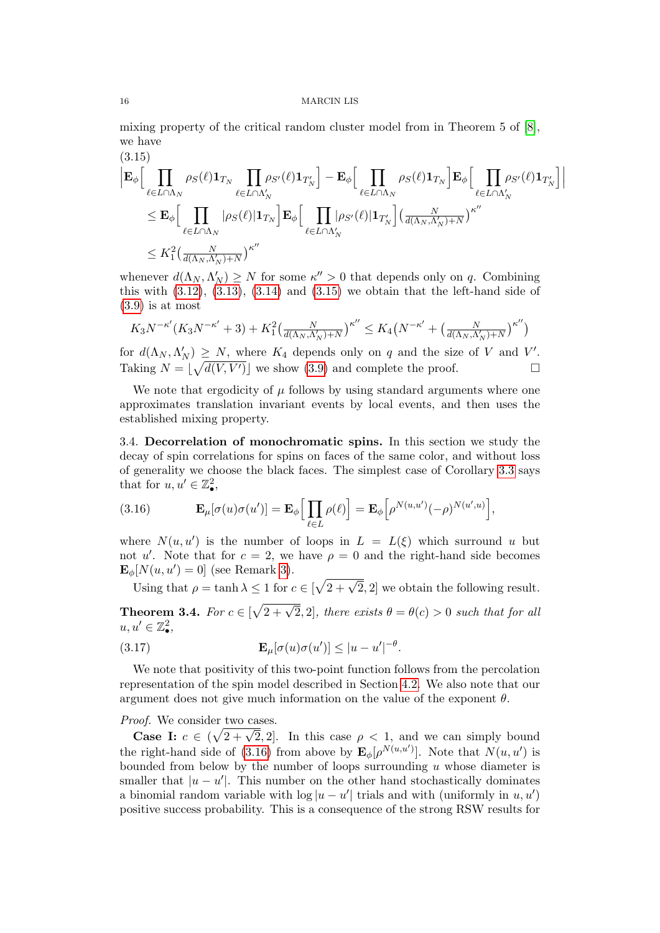mixing property of the critical random cluster model from in Theorem 5 of [\[8\]](#page-23-9), we have  $(9.15)$ 

<span id="page-15-0"></span>
$$
\begin{aligned}\n&\left|\mathbf{E}_{\phi}\right[\prod_{\ell\in L\cap\Lambda_N}\rho_S(\ell)\mathbf{1}_{T_N}\prod_{\ell\in L\cap\Lambda'_N}\rho_{S'}(\ell)\mathbf{1}_{T'_N}\right] - \mathbf{E}_{\phi}\Big[\prod_{\ell\in L\cap\Lambda_N}\rho_S(\ell)\mathbf{1}_{T_N}\Big]\mathbf{E}_{\phi}\Big[\prod_{\ell\in L\cap\Lambda'_N}\rho_{S'}(\ell)\mathbf{1}_{T'_N}\Big] \\
&\leq \mathbf{E}_{\phi}\Big[\prod_{\ell\in L\cap\Lambda_N}|\rho_S(\ell)|\mathbf{1}_{T_N}\Big]\mathbf{E}_{\phi}\Big[\prod_{\ell\in L\cap\Lambda'_N}|\rho_{S'}(\ell)|\mathbf{1}_{T'_N}\Big](\frac{N}{d(\Lambda_N,\Lambda'_N)+N})^{\kappa''} \\
&\leq K_1^2\big(\frac{N}{d(\Lambda_N,\Lambda'_N)+N}\big)^{\kappa''}\n\end{aligned}
$$

whenever  $d(\Lambda_N, \Lambda'_N) \geq N$  for some  $\kappa'' > 0$  that depends only on q. Combining this with  $(3.12)$ ,  $(3.13)$ ,  $(3.14)$  and  $(3.15)$  we obtain that the left-hand side of  $(3.9)$  is at most

$$
K_3N^{-\kappa'}(K_3N^{-\kappa'}+3)+K_1^2\left(\frac{N}{d(\Lambda_N,\Lambda_N')+N}\right)^{\kappa''}\leq K_4\left(N^{-\kappa'}+\left(\frac{N}{d(\Lambda_N,\Lambda_N')+N}\right)^{\kappa''}\right)
$$

for  $d(\Lambda_N, \Lambda'_N) \geq N$ , where  $K_4$  depends only on q and the size of V and V'. Taking  $N = |\sqrt{d(V, V')}|$  we show [\(3.9\)](#page-13-2) and complete the proof.

We note that ergodicity of  $\mu$  follows by using standard arguments where one approximates translation invariant events by local events, and then uses the established mixing property.

3.4. Decorrelation of monochromatic spins. In this section we study the decay of spin correlations for spins on faces of the same color, and without loss of generality we choose the black faces. The simplest case of Corollary [3.3](#page-13-3) says that for  $u, u' \in \mathbb{Z}^2_\bullet$ ,

<span id="page-15-1"></span>(3.16) 
$$
\mathbf{E}_{\mu}[\sigma(u)\sigma(u')] = \mathbf{E}_{\phi}\Big[\prod_{\ell \in L} \rho(\ell)\Big] = \mathbf{E}_{\phi}\Big[\rho^{N(u,u')}(-\rho)^{N(u',u)}\Big],
$$

where  $N(u, u')$  is the number of loops in  $L = L(\xi)$  which surround u but not u'. Note that for  $c = 2$ , we have  $\rho = 0$  and the right-hand side becomes  $\mathbf{E}_{\phi}[N(u, u') = 0]$  (see Remark [3\)](#page-19-0).

Using that  $\rho = \tanh \lambda \leq 1$  for  $c \in [\sqrt{2 + \sqrt{2}}, 2]$  we obtain the following result.

<span id="page-15-3"></span>**Theorem 3.4.** For  $c \in [\sqrt{2 + \sqrt{2}}, 2]$ , there exists  $\theta = \theta(c) > 0$  such that for all  $u, u' \in \mathbb{Z}^2_\bullet,$ 

<span id="page-15-2"></span>(3.17) 
$$
\mathbf{E}_{\mu}[\sigma(u)\sigma(u')] \leq |u - u'|^{-\theta}.
$$

We note that positivity of this two-point function follows from the percolation representation of the spin model described in Section [4.2.](#page-17-0) We also note that our argument does not give much information on the value of the exponent  $\theta$ .

# Proof. We consider two cases.

Case I:  $c \in (\sqrt{2+\sqrt{2}}, 2]$ . In this case  $\rho < 1$ , and we can simply bound the right-hand side of [\(3.16\)](#page-15-1) from above by  $\mathbf{E}_{\phi}[\rho^{N(u,u')}]$ . Note that  $N(u,u')$  is bounded from below by the number of loops surrounding  $u$  whose diameter is smaller that  $|u - u'|$ . This number on the other hand stochastically dominates a binomial random variable with  $\log |u - u'|$  trials and with (uniformly in  $u, u'$ ) positive success probability. This is a consequence of the strong RSW results for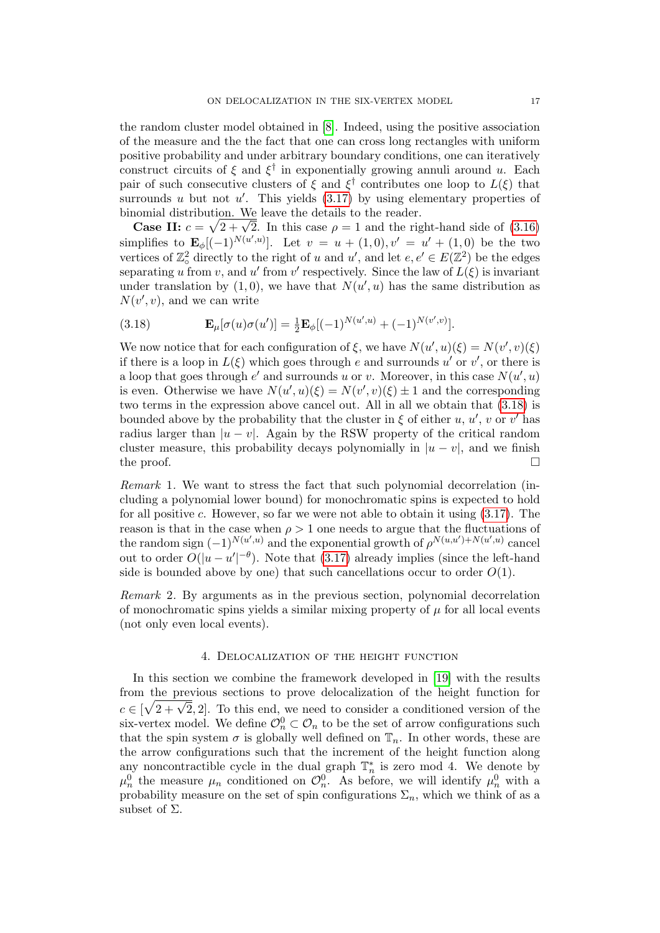the random cluster model obtained in [\[8\]](#page-23-9). Indeed, using the positive association of the measure and the the fact that one can cross long rectangles with uniform positive probability and under arbitrary boundary conditions, one can iteratively construct circuits of  $\xi$  and  $\xi^{\dagger}$  in exponentially growing annuli around u. Each pair of such consecutive clusters of  $\xi$  and  $\xi^{\dagger}$  contributes one loop to  $L(\xi)$  that surrounds u but not  $u'$ . This yields  $(3.17)$  by using elementary properties of binomial distribution. We leave the details to the reader.

Framerian distribution. We leave the details to the reader.<br> **Case II:**  $c = \sqrt{2 + \sqrt{2}}$ . In this case  $\rho = 1$  and the right-hand side of [\(3.16\)](#page-15-1) simplifies to  $\mathbf{E}_{\phi}$ [(-1)<sup>N(u',u</sup>)]. Let  $v = u + (1,0), v' = u' + (1,0)$  be the two vertices of  $\mathbb{Z}^2_{\text{o}}$  directly to the right of u and u', and let  $e, e' \in E(\mathbb{Z}^2)$  be the edges separating u from v, and u' from v' respectively. Since the law of  $L(\xi)$  is invariant under translation by  $(1,0)$ , we have that  $N(u',u)$  has the same distribution as  $N(v', v)$ , and we can write

<span id="page-16-0"></span>(3.18) 
$$
\mathbf{E}_{\mu}[\sigma(u)\sigma(u')] = \frac{1}{2}\mathbf{E}_{\phi}[(-1)^{N(u',u)} + (-1)^{N(v',v)}].
$$

We now notice that for each configuration of  $\xi$ , we have  $N(u', u)(\xi) = N(v', v)(\xi)$ if there is a loop in  $L(\xi)$  which goes through e and surrounds u' or v', or there is a loop that goes through  $e'$  and surrounds u or v. Moreover, in this case  $N(u', u)$ is even. Otherwise we have  $N(u', u)(\xi) = N(v', v)(\xi) \pm 1$  and the corresponding two terms in the expression above cancel out. All in all we obtain that [\(3.18\)](#page-16-0) is bounded above by the probability that the cluster in  $\xi$  of either u, u', v or v' has radius larger than  $|u - v|$ . Again by the RSW property of the critical random cluster measure, this probability decays polynomially in  $|u - v|$ , and we finish the proof.  $\Box$ 

Remark 1. We want to stress the fact that such polynomial decorrelation (including a polynomial lower bound) for monochromatic spins is expected to hold for all positive  $c$ . However, so far we were not able to obtain it using  $(3.17)$ . The reason is that in the case when  $\rho > 1$  one needs to argue that the fluctuations of the random sign  $(-1)^{N(u',u)}$  and the exponential growth of  $\rho^{N(u,u')+N(u',u)}$  cancel out to order  $O(|u-u'|^{-\theta})$ . Note that [\(3.17\)](#page-15-2) already implies (since the left-hand side is bounded above by one) that such cancellations occur to order  $O(1)$ .

Remark 2. By arguments as in the previous section, polynomial decorrelation of monochromatic spins yields a similar mixing property of  $\mu$  for all local events (not only even local events).

## 4. Delocalization of the height function

In this section we combine the framework developed in [\[19\]](#page-23-18) with the results from the previous sections to prove delocalization of the height function for From the previous sections to prove delocalization of the height function for  $c \in [\sqrt{2} + \sqrt{2}, 2]$ . To this end, we need to consider a conditioned version of the six-vertex model. We define  $\mathcal{O}_n^0 \subset \mathcal{O}_n$  to be the set of arrow configurations such that the spin system  $\sigma$  is globally well defined on  $\mathbb{T}_n$ . In other words, these are the arrow configurations such that the increment of the height function along any noncontractible cycle in the dual graph  $\mathbb{T}_n^*$  is zero mod 4. We denote by  $\mu_n^0$  the measure  $\mu_n$  conditioned on  $\mathcal{O}_n^0$ . As before, we will identify  $\mu_n^0$  with a probability measure on the set of spin configurations  $\Sigma_n$ , which we think of as a subset of  $\Sigma$ .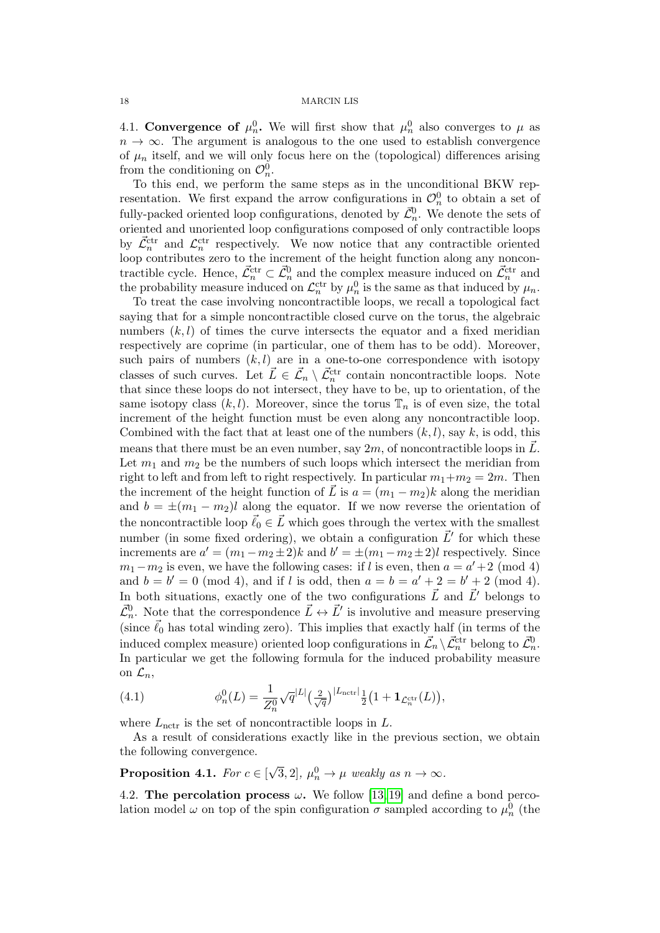4.1. Convergence of  $\mu_n^0$ . We will first show that  $\mu_n^0$  also converges to  $\mu$  as  $n \to \infty$ . The argument is analogous to the one used to establish convergence of  $\mu_n$  itself, and we will only focus here on the (topological) differences arising from the conditioning on  $\mathcal{O}_n^0$ .

To this end, we perform the same steps as in the unconditional BKW representation. We first expand the arrow configurations in  $\mathcal{O}_n^0$  to obtain a set of fully-packed oriented loop configurations, denoted by  $\mathcal{\vec{L}}_n^0$ . We denote the sets of oriented and unoriented loop configurations composed of only contractible loops by  $\vec{\mathcal{L}}_n^{\text{ctr}}$  and  $\mathcal{L}_n^{\text{ctr}}$  respectively. We now notice that any contractible oriented loop contributes zero to the increment of the height function along any noncontractible cycle. Hence,  $\vec{\mathcal{L}}_n^{\text{ctr}} \subset \vec{\mathcal{L}}_n^0$  and the complex measure induced on  $\vec{\mathcal{L}}_n^{\text{ctr}}$  and the probability measure induced on  $\mathcal{L}_n^{\text{ctr}}$  by  $\mu_n^0$  is the same as that induced by  $\mu_n$ .

To treat the case involving noncontractible loops, we recall a topological fact saying that for a simple noncontractible closed curve on the torus, the algebraic numbers  $(k, l)$  of times the curve intersects the equator and a fixed meridian respectively are coprime (in particular, one of them has to be odd). Moreover, such pairs of numbers  $(k, l)$  are in a one-to-one correspondence with isotopy classes of such curves. Let  $\vec{L} \in \vec{\mathcal{L}}_n \setminus \vec{\mathcal{L}}_n^{\text{ctr}}$  contain noncontractible loops. Note that since these loops do not intersect, they have to be, up to orientation, of the same isotopy class  $(k, l)$ . Moreover, since the torus  $\mathbb{T}_n$  is of even size, the total increment of the height function must be even along any noncontractible loop. Combined with the fact that at least one of the numbers  $(k, l)$ , say k, is odd, this means that there must be an even number, say  $2m$ , of noncontractible loops in  $\ddot{L}$ . Let  $m_1$  and  $m_2$  be the numbers of such loops which intersect the meridian from right to left and from left to right respectively. In particular  $m_1+m_2=2m$ . Then the increment of the height function of  $\vec{L}$  is  $a = (m_1 - m_2)k$  along the meridian and  $b = \pm (m_1 - m_2)l$  along the equator. If we now reverse the orientation of the noncontractible loop  $\vec{\ell}_0 \in \vec{L}$  which goes through the vertex with the smallest number (in some fixed ordering), we obtain a configuration  $\vec{L}'$  for which these increments are  $a' = (m_1 - m_2 \pm 2)k$  and  $b' = \pm (m_1 - m_2 \pm 2)l$  respectively. Since  $m_1 - m_2$  is even, we have the following cases: if l is even, then  $a = a' + 2 \pmod{4}$ and  $b = b' = 0 \pmod{4}$ , and if *l* is odd, then  $a = b = a' + 2 = b' + 2 \pmod{4}$ . In both situations, exactly one of the two configurations  $\vec{L}$  and  $\vec{L}^{\prime}$  belongs to  $\mathcal{\vec{L}}_n^0$ . Note that the correspondence  $\vec{L} \leftrightarrow \vec{L}'$  is involutive and measure preserving (since  $\vec{\ell}_0$  has total winding zero). This implies that exactly half (in terms of the induced complex measure) oriented loop configurations in  $\vec{\mathcal{L}}_n \setminus \vec{\mathcal{L}}_n^{\text{ctr}}$  belong to  $\vec{\mathcal{L}}_n^0$ . In particular we get the following formula for the induced probability measure on  $\mathcal{L}_n$ ,

(4.1) 
$$
\phi_n^0(L) = \frac{1}{Z_n^0} \sqrt{q}^{|L|} \left(\frac{2}{\sqrt{q}}\right)^{|L_{\text{nctr}}|} \frac{1}{2} \left(1 + \mathbf{1}_{\mathcal{L}_n^{\text{ctr}}}(L)\right),
$$

where  $L_{\text{nctr}}$  is the set of noncontractible loops in  $L$ .

As a result of considerations exactly like in the previous section, we obtain the following convergence.

<span id="page-17-1"></span>**Proposition 4.1.** For  $c \in \lbrack$ √  $\overline{3}, 2], \mu_n^0 \to \mu$  weakly as  $n \to \infty$ .

<span id="page-17-0"></span>4.2. The percolation process  $\omega$ . We follow [\[13,](#page-23-8) [19\]](#page-23-18) and define a bond percolation model  $\omega$  on top of the spin configuration  $\sigma$  sampled according to  $\mu_n^0$  (the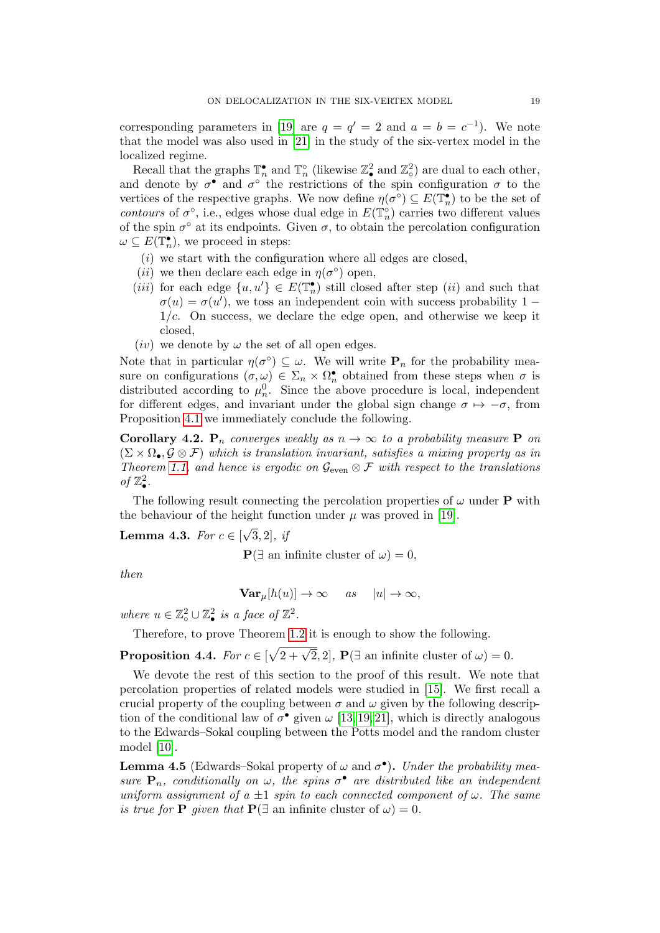corresponding parameters in [\[19\]](#page-23-18) are  $q = q' = 2$  and  $a = b = c^{-1}$ . We note that the model was also used in [\[21\]](#page-23-21) in the study of the six-vertex model in the localized regime.

Recall that the graphs  $\mathbb{T}_n^{\bullet}$  and  $\mathbb{T}_n^{\circ}$  (likewise  $\mathbb{Z}_\bullet^2$  and  $\mathbb{Z}_\circ^2$ ) are dual to each other, and denote by  $\sigma^{\bullet}$  and  $\sigma^{\circ}$  the restrictions of the spin configuration  $\sigma$  to the vertices of the respective graphs. We now define  $\eta(\sigma^{\circ}) \subseteq E(\mathbb{T}_n^{\bullet})$  to be the set of contours of  $\sigma^{\circ}$ , i.e., edges whose dual edge in  $E(\mathbb{T}_{n}^{\circ})$  carries two different values of the spin  $\sigma^{\circ}$  at its endpoints. Given  $\sigma$ , to obtain the percolation configuration  $\omega \subseteq E(\mathbb{T}_n^{\bullet}),$  we proceed in steps:

- $(i)$  we start with the configuration where all edges are closed,
- (*ii*) we then declare each edge in  $\eta(\sigma^{\circ})$  open,
- (iii) for each edge  $\{u, u'\} \in E(\mathbb{T}_n^{\bullet})$  still closed after step (ii) and such that  $\sigma(u) = \sigma(u')$ , we toss an independent coin with success probability 1 –  $1/c$ . On success, we declare the edge open, and otherwise we keep it closed,
- (*iv*) we denote by  $\omega$  the set of all open edges.

Note that in particular  $\eta(\sigma^{\circ}) \subseteq \omega$ . We will write  $\mathbf{P}_n$  for the probability measure on configurations  $(\sigma, \omega) \in \Sigma_n \times \Omega_n^{\bullet}$  obtained from these steps when  $\sigma$  is distributed according to  $\mu_n^0$ . Since the above procedure is local, independent for different edges, and invariant under the global sign change  $\sigma \mapsto -\sigma$ , from Proposition [4.1](#page-17-1) we immediately conclude the following.

<span id="page-18-1"></span>Corollary 4.2.  $P_n$  converges weakly as  $n \to \infty$  to a probability measure P on  $(\Sigma \times \Omega_{\bullet}, \mathcal{G} \otimes \mathcal{F})$  which is translation invariant, satisfies a mixing property as in Theorem [1.1,](#page-0-0) and hence is ergodic on  $\mathcal{G}_{even} \otimes \mathcal{F}$  with respect to the translations of  $\mathbb{Z}^2_\bullet.$ 

The following result connecting the percolation properties of  $\omega$  under **P** with the behaviour of the height function under  $\mu$  was proved in [\[19\]](#page-23-18). √

<span id="page-18-2"></span>**Lemma 4.3.** For  $c \in \lbrack$  $[3, 2], \textit{if}$ 

 ${\bf P}(\exists$  an infinite cluster of  $\omega$ ) = 0,

then

$$
\mathbf{Var}_{\mu}[h(u)] \to \infty \quad \text{as} \quad |u| \to \infty,
$$

where  $u \in \mathbb{Z}_{\circ}^2 \cup \mathbb{Z}_{\bullet}^2$  is a face of  $\mathbb{Z}^2$ .

Therefore, to prove Theorem [1.2](#page-2-0) it is enough to show the following.

<span id="page-18-3"></span>**Proposition 4.4.** For  $c \in [\sqrt{2+\sqrt{2}}, 2]$ ,  $\mathbf{P}(\exists \text{ an infinite cluster of } \omega) = 0$ .

We devote the rest of this section to the proof of this result. We note that percolation properties of related models were studied in [\[15\]](#page-23-22). We first recall a crucial property of the coupling between  $\sigma$  and  $\omega$  given by the following description of the conditional law of  $\sigma^{\bullet}$  given  $\omega$  [\[13,](#page-23-8) [19,](#page-23-18) [21\]](#page-23-21), which is directly analogous to the Edwards–Sokal coupling between the Potts model and the random cluster model [\[10\]](#page-23-23).

<span id="page-18-0"></span>**Lemma 4.5** (Edwards–Sokal property of  $\omega$  and  $\sigma^{\bullet}$ ). Under the probability measure  $P_n$ , conditionally on  $\omega$ , the spins  $\sigma^{\bullet}$  are distributed like an independent uniform assignment of a  $\pm 1$  spin to each connected component of  $\omega$ . The same is true for **P** given that  $\mathbf{P}(\exists \text{ an infinite cluster of } \omega) = 0$ .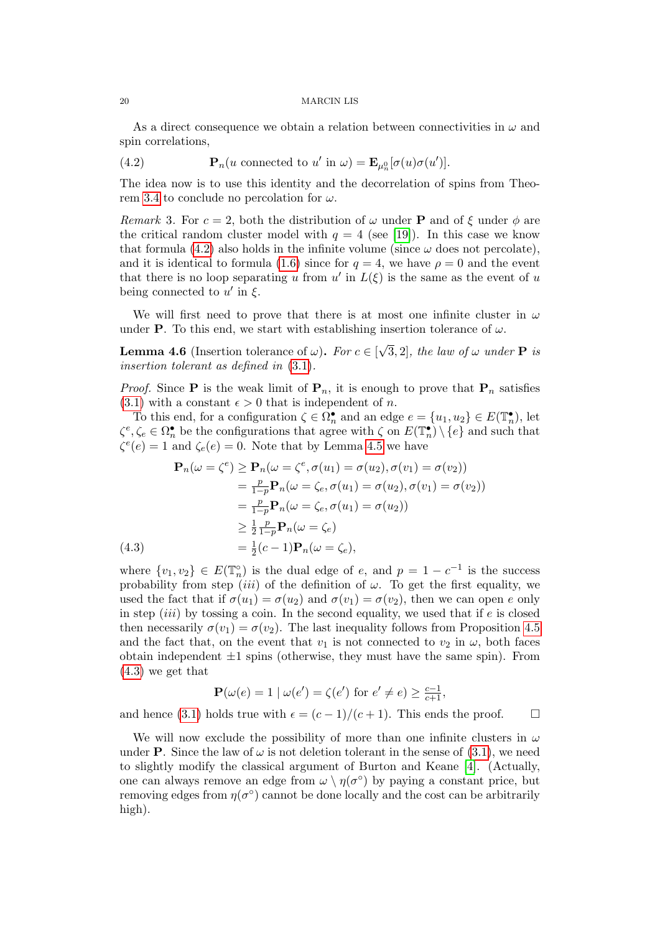As a direct consequence we obtain a relation between connectivities in  $\omega$  and spin correlations,

<span id="page-19-1"></span>(4.2) 
$$
\mathbf{P}_n(u \text{ connected to } u' \text{ in } \omega) = \mathbf{E}_{\mu_n^0}[\sigma(u)\sigma(u')].
$$

The idea now is to use this identity and the decorrelation of spins from Theo-rem [3.4](#page-15-3) to conclude no percolation for  $\omega$ .

<span id="page-19-0"></span>Remark 3. For  $c = 2$ , both the distribution of  $\omega$  under **P** and of  $\xi$  under  $\phi$  are the critical random cluster model with  $q = 4$  (see [\[19\]](#page-23-18)). In this case we know that formula [\(4.2\)](#page-19-1) also holds in the infinite volume (since  $\omega$  does not percolate), and it is identical to formula [\(1.6\)](#page-3-0) since for  $q = 4$ , we have  $\rho = 0$  and the event that there is no loop separating u from  $u'$  in  $L(\xi)$  is the same as the event of u being connected to  $u'$  in  $\xi$ .

We will first need to prove that there is at most one infinite cluster in  $\omega$ under **P**. To this end, we start with establishing insertion tolerance of  $\omega$ .

<span id="page-19-3"></span>**Lemma 4.6** (Insertion tolerance of  $\omega$ ). For  $c \in \mathbb{R}$ √ 3, 2], the law of  $\omega$  under **P** is insertion tolerant as defined in [\(3.1\)](#page-10-4).

*Proof.* Since **P** is the weak limit of  $\mathbf{P}_n$ , it is enough to prove that  $\mathbf{P}_n$  satisfies  $(3.1)$  with a constant  $\epsilon > 0$  that is independent of n.

To this end, for a configuration  $\zeta \in \Omega_n^{\bullet}$  and an edge  $e = \{u_1, u_2\} \in E(\mathbb{T}_n^{\bullet}),$  let  $\zeta^e, \zeta_e \in \Omega_n^{\bullet}$  be the configurations that agree with  $\zeta$  on  $E(\mathbb{T}_n^{\bullet}) \setminus \{e\}$  and such that  $\zeta^e(e) = 1$  and  $\zeta_e(e) = 0$ . Note that by Lemma [4.5](#page-18-0) we have

$$
\mathbf{P}_n(\omega = \zeta^e) \ge \mathbf{P}_n(\omega = \zeta^e, \sigma(u_1) = \sigma(u_2), \sigma(v_1) = \sigma(v_2))
$$
  
\n
$$
= \frac{p}{1-p} \mathbf{P}_n(\omega = \zeta_e, \sigma(u_1) = \sigma(u_2), \sigma(v_1) = \sigma(v_2))
$$
  
\n
$$
= \frac{p}{1-p} \mathbf{P}_n(\omega = \zeta_e, \sigma(u_1) = \sigma(u_2))
$$
  
\n
$$
\ge \frac{1}{2} \frac{p}{1-p} \mathbf{P}_n(\omega = \zeta_e)
$$
  
\n(4.3) 
$$
= \frac{1}{2}(c-1) \mathbf{P}_n(\omega = \zeta_e),
$$

<span id="page-19-2"></span>where  $\{v_1, v_2\} \in E(\mathbb{T}_n^{\circ})$  is the dual edge of e, and  $p = 1 - c^{-1}$  is the success probability from step *(iii)* of the definition of  $\omega$ . To get the first equality, we used the fact that if  $\sigma(u_1) = \sigma(u_2)$  and  $\sigma(v_1) = \sigma(v_2)$ , then we can open e only in step  $(iii)$  by tossing a coin. In the second equality, we used that if  $e$  is closed then necessarily  $\sigma(v_1) = \sigma(v_2)$ . The last inequality follows from Proposition [4.5](#page-18-0) and the fact that, on the event that  $v_1$  is not connected to  $v_2$  in  $\omega$ , both faces obtain independent  $\pm 1$  spins (otherwise, they must have the same spin). From [\(4.3\)](#page-19-2) we get that

$$
\mathbf{P}(\omega(e) = 1 \mid \omega(e') = \zeta(e') \text{ for } e' \neq e) \ge \frac{c-1}{c+1},
$$

and hence [\(3.1\)](#page-10-4) holds true with  $\epsilon = (c-1)/(c+1)$ . This ends the proof.  $\Box$ 

We will now exclude the possibility of more than one infinite clusters in  $\omega$ under **P**. Since the law of  $\omega$  is not deletion tolerant in the sense of [\(3.1\)](#page-10-4), we need to slightly modify the classical argument of Burton and Keane [\[4\]](#page-23-20). (Actually, one can always remove an edge from  $\omega \setminus \eta(\sigma^{\circ})$  by paying a constant price, but removing edges from  $\eta(\sigma^{\circ})$  cannot be done locally and the cost can be arbitrarily high).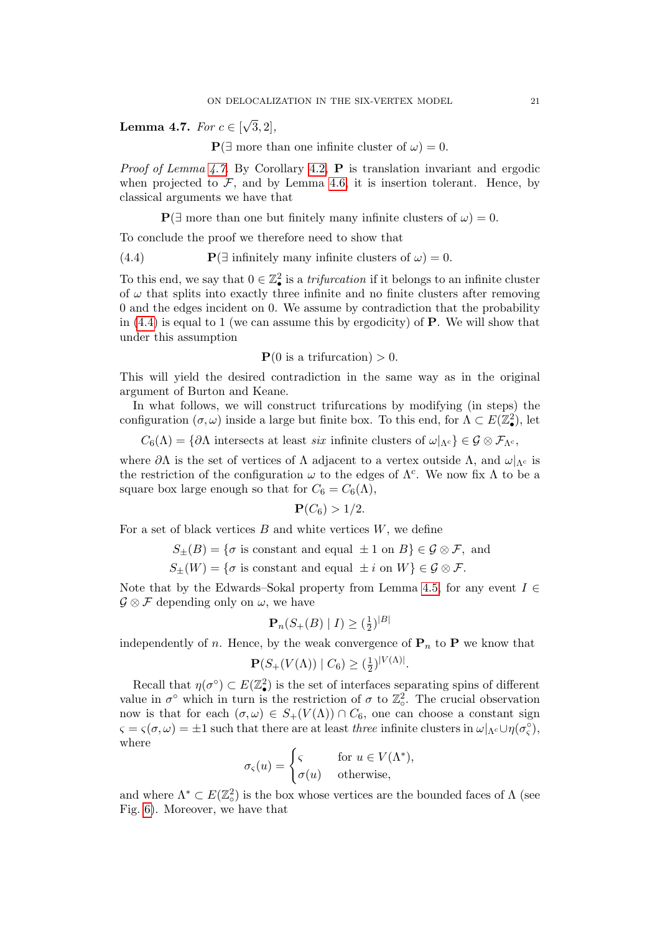<span id="page-20-0"></span>**Lemma 4.7.** For  $c \in \lbrack$ √  $[3, 2]$ ,

 ${\bf P}(\exists$  more than one infinite cluster of  $\omega$ ) = 0.

*Proof of Lemma [4.7.](#page-20-0)* By Corollary [4.2,](#page-18-1) **P** is translation invariant and ergodic when projected to  $\mathcal{F}$ , and by Lemma [4.6,](#page-19-3) it is insertion tolerant. Hence, by classical arguments we have that

 ${\bf P}(\exists$  more than one but finitely many infinite clusters of  $\omega$ ) = 0.

To conclude the proof we therefore need to show that

<span id="page-20-1"></span>(4.4)  $\mathbf{P}(\exists \text{ infinitely many infinite clusters of } \omega) = 0.$ 

To this end, we say that  $0 \in \mathbb{Z}^2_\bullet$  is a *trifurcation* if it belongs to an infinite cluster of  $\omega$  that splits into exactly three infinite and no finite clusters after removing 0 and the edges incident on 0. We assume by contradiction that the probability in  $(4.4)$  is equal to 1 (we can assume this by ergodicity) of **P**. We will show that under this assumption

$$
P(0 \text{ is a trifurcation}) > 0.
$$

This will yield the desired contradiction in the same way as in the original argument of Burton and Keane.

In what follows, we will construct trifurcations by modifying (in steps) the configuration  $(\sigma, \omega)$  inside a large but finite box. To this end, for  $\Lambda \subset E(\mathbb{Z}_\bullet^2)$ , let

 $C_6(\Lambda) = \{ \partial \Lambda \text{ intersects at least } six \text{ infinite clusters of } \omega |_{\Lambda^c} \} \in \mathcal{G} \otimes \mathcal{F}_{\Lambda^c},$ 

where  $\partial\Lambda$  is the set of vertices of  $\Lambda$  adjacent to a vertex outside  $\Lambda$ , and  $\omega|_{\Lambda_c}$  is the restriction of the configuration  $\omega$  to the edges of  $\Lambda^c$ . We now fix  $\Lambda$  to be a square box large enough so that for  $C_6 = C_6(\Lambda)$ ,

$$
\mathbf{P}(C_6) > 1/2.
$$

For a set of black vertices  $B$  and white vertices  $W$ , we define

 $S_{\pm}(B) = \{\sigma \text{ is constant and equal } \pm 1 \text{ on } B\} \in \mathcal{G} \otimes \mathcal{F}, \text{ and}$ 

 $S_{+}(W) = \{\sigma \text{ is constant and equal } \pm i \text{ on } W\} \in \mathcal{G} \otimes \mathcal{F}.$ 

Note that by the Edwards–Sokal property from Lemma [4.5,](#page-18-0) for any event  $I \in$  $\mathcal{G} \otimes \mathcal{F}$  depending only on  $\omega$ , we have

$$
\mathbf{P}_n(S_+(B) \mid I) \geq (\frac{1}{2})^{|B|}
$$

independently of n. Hence, by the weak convergence of  $P_n$  to P we know that

$$
\mathbf{P}(S_+(V(\Lambda)) \mid C_6) \geq (\frac{1}{2})^{|V(\Lambda)|}.
$$

Recall that  $\eta(\sigma^{\circ}) \subset E(\mathbb{Z}_{\bullet}^2)$  is the set of interfaces separating spins of different value in  $\sigma^{\circ}$  which in turn is the restriction of  $\sigma$  to  $\mathbb{Z}_\circ^2$ . The crucial observation now is that for each  $(\sigma, \omega) \in S_+(V(\Lambda)) \cap C_6$ , one can choose a constant sign  $\zeta = \zeta(\sigma, \omega) = \pm 1$  such that there are at least *three* infinite clusters in  $\omega|_{\Lambda_c} \cup \eta(\sigma_c^{\circ}),$ where

$$
\sigma_{\varsigma}(u) = \begin{cases} \varsigma & \text{for } u \in V(\Lambda^*), \\ \sigma(u) & \text{otherwise}, \end{cases}
$$

and where  $\Lambda^* \subset E(\mathbb{Z}_\circ^2)$  is the box whose vertices are the bounded faces of  $\Lambda$  (see Fig. [6\)](#page-21-0). Moreover, we have that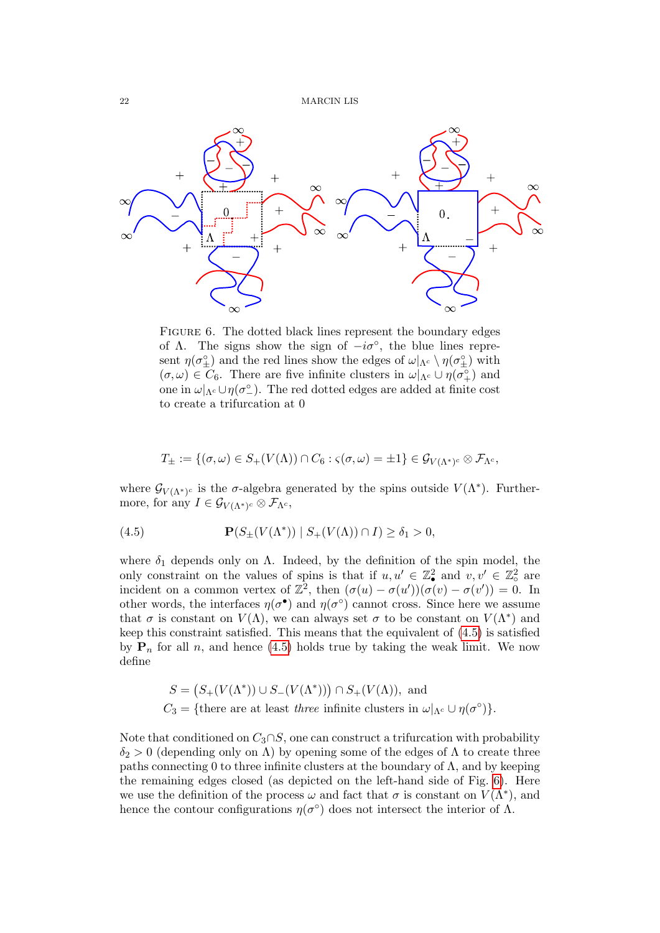<span id="page-21-0"></span>

FIGURE 6. The dotted black lines represent the boundary edges of  $\Lambda$ . The signs show the sign of  $-i\sigma$ °, the blue lines represent  $\eta(\sigma_{\pm}^{\circ})$  and the red lines show the edges of  $\omega|_{\Lambda^c} \setminus \eta(\sigma_{\pm}^{\circ})$  with  $(\sigma,\omega) \in C_6$ . There are five infinite clusters in  $\omega|_{\Lambda_c} \cup \eta(\sigma_+^{\circ})$  and one in  $\omega|_{\Lambda^c} \cup \eta(\sigma^{\circ})$ . The red dotted edges are added at finite cost to create a trifurcation at 0

$$
T_{\pm} := \{ (\sigma, \omega) \in S_+(V(\Lambda)) \cap C_6 : \varsigma(\sigma, \omega) = \pm 1 \} \in \mathcal{G}_{V(\Lambda^*)^c} \otimes \mathcal{F}_{\Lambda^c},
$$

where  $\mathcal{G}_{V(\Lambda^*)^c}$  is the  $\sigma$ -algebra generated by the spins outside  $V(\Lambda^*)$ . Furthermore, for any  $I \in \mathcal{G}_{V(\Lambda^*)^c} \otimes \mathcal{F}_{\Lambda^c}$ ,

<span id="page-21-1"></span>(4.5) 
$$
\mathbf{P}(S_{\pm}(V(\Lambda^*)) \mid S_{+}(V(\Lambda)) \cap I) \geq \delta_1 > 0,
$$

where  $\delta_1$  depends only on  $\Lambda$ . Indeed, by the definition of the spin model, the only constraint on the values of spins is that if  $u, u' \in \mathbb{Z}_\bullet^2$  and  $v, v' \in \mathbb{Z}_\circ^2$  are incident on a common vertex of  $\mathbb{Z}^2$ , then  $(\sigma(u) - \sigma(u'))(\sigma(v) - \sigma(v')) = 0$ . In other words, the interfaces  $\eta(\sigma^{\bullet})$  and  $\eta(\sigma^{\circ})$  cannot cross. Since here we assume that  $\sigma$  is constant on  $V(\Lambda)$ , we can always set  $\sigma$  to be constant on  $V(\Lambda^*)$  and keep this constraint satisfied. This means that the equivalent of [\(4.5\)](#page-21-1) is satisfied by  $P_n$  for all n, and hence [\(4.5\)](#page-21-1) holds true by taking the weak limit. We now define

$$
S = (S_{+}(V(\Lambda^*)) \cup S_{-}(V(\Lambda^*))) \cap S_{+}(V(\Lambda)), \text{ and}
$$
  

$$
C_3 = \{\text{there are at least three infinite clusters in } \omega|_{\Lambda^c} \cup \eta(\sigma^c)\}.
$$

Note that conditioned on  $C_3 \cap S$ , one can construct a trifurcation with probability  $\delta_2 > 0$  (depending only on  $\Lambda$ ) by opening some of the edges of  $\Lambda$  to create three paths connecting 0 to three infinite clusters at the boundary of  $\Lambda$ , and by keeping the remaining edges closed (as depicted on the left-hand side of Fig. [6\)](#page-21-0). Here we use the definition of the process  $\omega$  and fact that  $\sigma$  is constant on  $V(\Lambda^*)$ , and hence the contour configurations  $\eta(\sigma^{\circ})$  does not intersect the interior of  $\Lambda$ .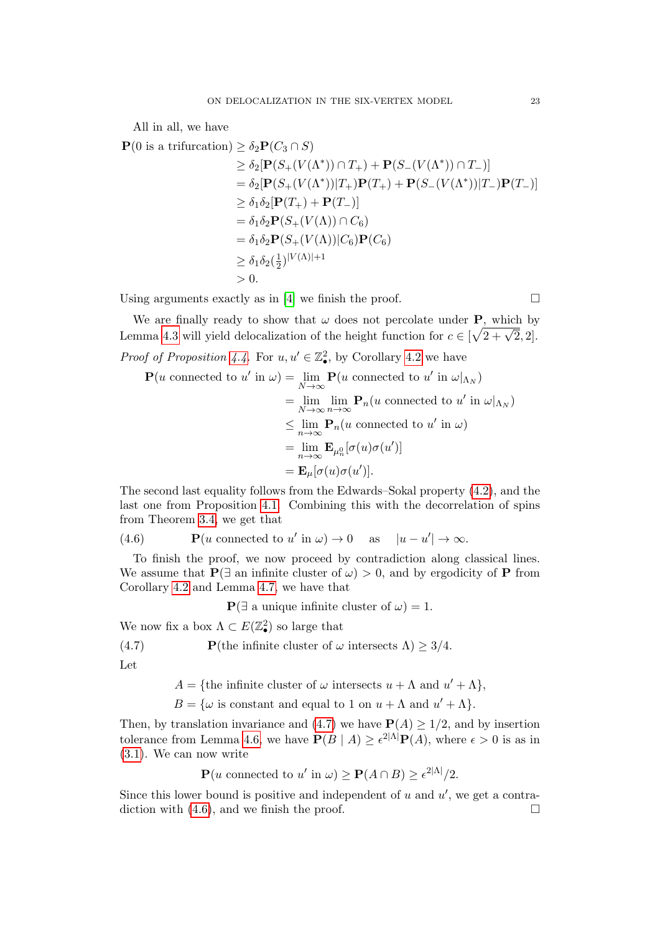All in all, we have

$$
\mathbf{P}(0 \text{ is a trifurcation}) \ge \delta_2 \mathbf{P}(C_3 \cap S)
$$

$$
\geq \delta_2[\mathbf{P}(S_+(V(\Lambda^*)) \cap T_+) + \mathbf{P}(S_-(V(\Lambda^*)) \cap T_-)]
$$
  
=  $\delta_2[\mathbf{P}(S_+(V(\Lambda^*))|T_+) \mathbf{P}(T_+) + \mathbf{P}(S_-(V(\Lambda^*))|T_-) \mathbf{P}(T_-)]$   
 $\geq \delta_1 \delta_2[\mathbf{P}(T_+) + \mathbf{P}(T_-)]$   
=  $\delta_1 \delta_2 \mathbf{P}(S_+(V(\Lambda)) \cap C_6)$   
=  $\delta_1 \delta_2 \mathbf{P}(S_+(V(\Lambda))|C_6)\mathbf{P}(C_6)$   
 $\geq \delta_1 \delta_2(\frac{1}{2})^{|V(\Lambda)|+1}$   
> 0.

Using arguments exactly as in [\[4\]](#page-23-20) we finish the proof.  $\Box$ 

We are finally ready to show that  $\omega$  does not percolate under **P**, which by Lemma [4.3](#page-18-2) will yield delocalization of the height function for  $c \in [\sqrt{2 + \sqrt{2}}, 2]$ .

*Proof of Proposition [4.4.](#page-18-3)* For  $u, u' \in \mathbb{Z}_\bullet^2$ , by Corollary [4.2](#page-18-1) we have

$$
\mathbf{P}(u \text{ connected to } u' \text{ in } \omega) = \lim_{N \to \infty} \mathbf{P}(u \text{ connected to } u' \text{ in } \omega|_{\Lambda_N})
$$
  
\n
$$
= \lim_{N \to \infty} \lim_{n \to \infty} \mathbf{P}_n(u \text{ connected to } u' \text{ in } \omega|_{\Lambda_N})
$$
  
\n
$$
\leq \lim_{n \to \infty} \mathbf{P}_n(u \text{ connected to } u' \text{ in } \omega)
$$
  
\n
$$
= \lim_{n \to \infty} \mathbf{E}_{\mu_n^0}[\sigma(u)\sigma(u')]
$$
  
\n
$$
= \mathbf{E}_{\mu}[\sigma(u)\sigma(u')].
$$

The second last equality follows from the Edwards–Sokal property [\(4.2\)](#page-19-1), and the last one from Proposition [4.1.](#page-17-1) Combining this with the decorrelation of spins from Theorem [3.4,](#page-15-3) we get that

<span id="page-22-1"></span>(4.6)  $\mathbf{P}(u \text{ connected to } u' \text{ in } \omega) \to 0 \text{ as } |u - u'| \to \infty.$  $|u-u'| \rightarrow \infty.$ 

To finish the proof, we now proceed by contradiction along classical lines. We assume that  $P(\exists \text{ an infinite cluster of } \omega) > 0$ , and by ergodicity of P from Corollary [4.2](#page-18-1) and Lemma [4.7,](#page-20-0) we have that

 ${\bf P}(\exists$  a unique infinite cluster of  $\omega$ ) = 1.

We now fix a box  $\Lambda \subset E(\mathbb{Z}_\bullet^2)$  so large that

<span id="page-22-0"></span>(4.7) **P**(the infinite cluster of 
$$
\omega
$$
 intersects  $\Lambda$ )  $\geq 3/4$ .

Let

 $A = \{\text{the infinite cluster of }\omega\text{ intersects }u + \Lambda\text{ and }u' + \Lambda\},\$ 

 $B = \{\omega \text{ is constant and equal to } 1 \text{ on } u + \Lambda \text{ and } u' + \Lambda \}.$ 

Then, by translation invariance and [\(4.7\)](#page-22-0) we have  $P(A) \ge 1/2$ , and by insertion tolerance from Lemma [4.6,](#page-19-3) we have  $P(B | A) \geq \epsilon^{2|\Lambda|} P(A)$ , where  $\epsilon > 0$  is as in [\(3.1\)](#page-10-4). We can now write

 $\mathbf{P}(u \text{ connected to } u' \text{ in } \omega) \geq \mathbf{P}(A \cap B) \geq \epsilon^{2|\Lambda|}/2.$ 

Since this lower bound is positive and independent of  $u$  and  $u'$ , we get a contra-diction with [\(4.6\)](#page-22-1), and we finish the proof.  $\Box$